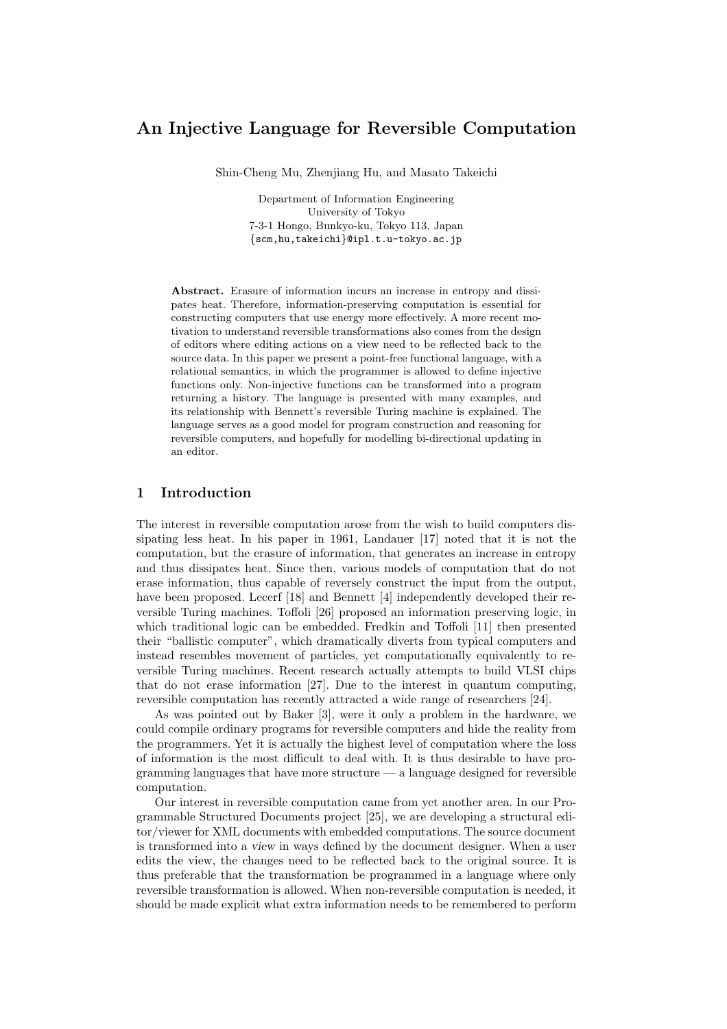# An Injective Language for Reversible Computation

Shin-Cheng Mu, Zhenjiang Hu, and Masato Takeichi

Department of Information Engineering University of Tokyo 7-3-1 Hongo, Bunkyo-ku, Tokyo 113, Japan {scm,hu,takeichi}@ipl.t.u-tokyo.ac.jp

Abstract. Erasure of information incurs an increase in entropy and dissipates heat. Therefore, information-preserving computation is essential for constructing computers that use energy more effectively. A more recent motivation to understand reversible transformations also comes from the design of editors where editing actions on a view need to be reflected back to the source data. In this paper we present a point-free functional language, with a relational semantics, in which the programmer is allowed to define injective functions only. Non-injective functions can be transformed into a program returning a history. The language is presented with many examples, and its relationship with Bennett's reversible Turing machine is explained. The language serves as a good model for program construction and reasoning for reversible computers, and hopefully for modelling bi-directional updating in an editor.

## 1 Introduction

The interest in reversible computation arose from the wish to build computers dissipating less heat. In his paper in 1961, Landauer [17] noted that it is not the computation, but the erasure of information, that generates an increase in entropy and thus dissipates heat. Since then, various models of computation that do not erase information, thus capable of reversely construct the input from the output, have been proposed. Lecerf [18] and Bennett [4] independently developed their reversible Turing machines. Toffoli [26] proposed an information preserving logic, in which traditional logic can be embedded. Fredkin and Toffoli [11] then presented their "ballistic computer", which dramatically diverts from typical computers and instead resembles movement of particles, yet computationally equivalently to reversible Turing machines. Recent research actually attempts to build VLSI chips that do not erase information [27]. Due to the interest in quantum computing, reversible computation has recently attracted a wide range of researchers [24].

As was pointed out by Baker [3], were it only a problem in the hardware, we could compile ordinary programs for reversible computers and hide the reality from the programmers. Yet it is actually the highest level of computation where the loss of information is the most difficult to deal with. It is thus desirable to have programming languages that have more structure — a language designed for reversible computation.

Our interest in reversible computation came from yet another area. In our Programmable Structured Documents project [25], we are developing a structural editor/viewer for XML documents with embedded computations. The source document is transformed into a view in ways defined by the document designer. When a user edits the view, the changes need to be reflected back to the original source. It is thus preferable that the transformation be programmed in a language where only reversible transformation is allowed. When non-reversible computation is needed, it should be made explicit what extra information needs to be remembered to perform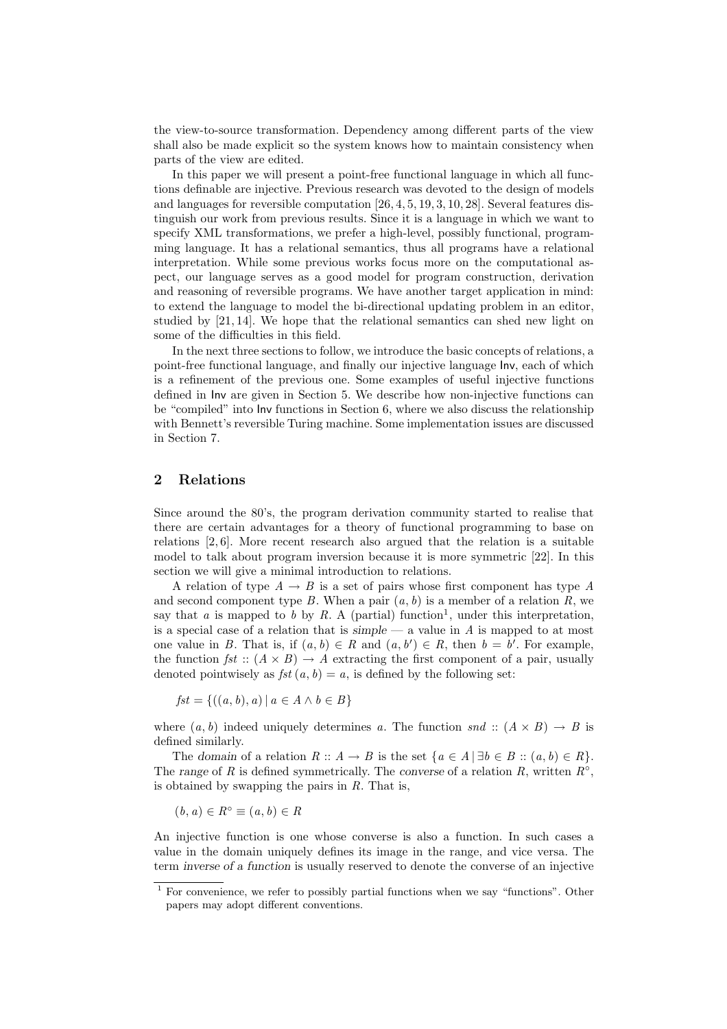the view-to-source transformation. Dependency among different parts of the view shall also be made explicit so the system knows how to maintain consistency when parts of the view are edited.

In this paper we will present a point-free functional language in which all functions definable are injective. Previous research was devoted to the design of models and languages for reversible computation [26, 4, 5, 19, 3, 10, 28]. Several features distinguish our work from previous results. Since it is a language in which we want to specify XML transformations, we prefer a high-level, possibly functional, programming language. It has a relational semantics, thus all programs have a relational interpretation. While some previous works focus more on the computational aspect, our language serves as a good model for program construction, derivation and reasoning of reversible programs. We have another target application in mind: to extend the language to model the bi-directional updating problem in an editor, studied by [21, 14]. We hope that the relational semantics can shed new light on some of the difficulties in this field.

In the next three sections to follow, we introduce the basic concepts of relations, a point-free functional language, and finally our injective language Inv, each of which is a refinement of the previous one. Some examples of useful injective functions defined in Inv are given in Section 5. We describe how non-injective functions can be "compiled" into Inv functions in Section 6, where we also discuss the relationship with Bennett's reversible Turing machine. Some implementation issues are discussed in Section 7.

## 2 Relations

Since around the 80's, the program derivation community started to realise that there are certain advantages for a theory of functional programming to base on relations [2, 6]. More recent research also argued that the relation is a suitable model to talk about program inversion because it is more symmetric [22]. In this section we will give a minimal introduction to relations.

A relation of type  $A \to B$  is a set of pairs whose first component has type A and second component type B. When a pair  $(a, b)$  is a member of a relation R, we say that a is mapped to b by R. A (partial) function<sup>1</sup>, under this interpretation, is a special case of a relation that is simple  $-$  a value in A is mapped to at most one value in B. That is, if  $(a, b) \in R$  and  $(a, b') \in R$ , then  $b = b'$ . For example, the function  $fst :: (A \times B) \rightarrow A$  extracting the first component of a pair, usually denoted pointwisely as  $fst (a, b) = a$ , is defined by the following set:

$$
fst = \{ ((a, b), a) \mid a \in A \land b \in B \}
$$

where  $(a, b)$  indeed uniquely determines a. The function snd ::  $(A \times B) \rightarrow B$  is defined similarly.

The domain of a relation  $R :: A \rightarrow B$  is the set  $\{a \in A \mid \exists b \in B :: (a, b) \in R\}.$ The range of R is defined symmetrically. The converse of a relation R, written  $R^{\circ}$ , is obtained by swapping the pairs in  $R$ . That is,

$$
(b, a) \in R^{\circ} \equiv (a, b) \in R
$$

An injective function is one whose converse is also a function. In such cases a value in the domain uniquely defines its image in the range, and vice versa. The term inverse of a function is usually reserved to denote the converse of an injective

<sup>1</sup> For convenience, we refer to possibly partial functions when we say "functions". Other papers may adopt different conventions.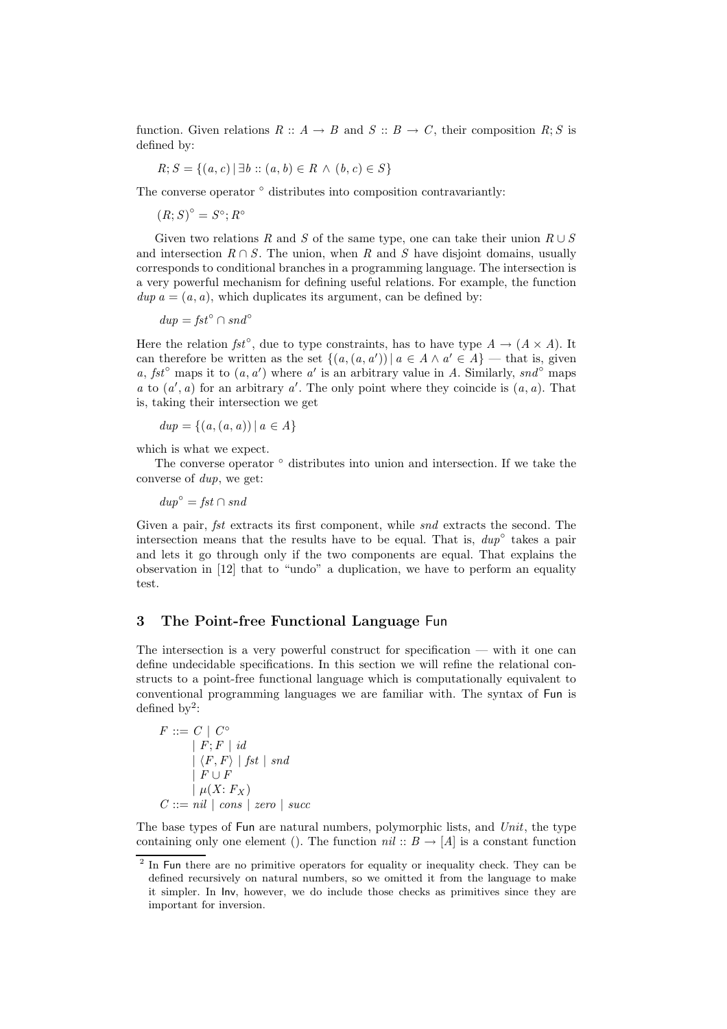function. Given relations  $R :: A \rightarrow B$  and  $S :: B \rightarrow C$ , their composition  $R; S$  is defined by:

$$
R; S = \{(a, c) \mid \exists b :: (a, b) \in R \land (b, c) \in S\}
$$

The converse operator ◦ distributes into composition contravariantly:

 $(R; S)^\circ = S^\circ; R^\circ$ 

Given two relations R and S of the same type, one can take their union  $R \cup S$ and intersection  $R \cap S$ . The union, when R and S have disjoint domains, usually corresponds to conditional branches in a programming language. The intersection is a very powerful mechanism for defining useful relations. For example, the function  $dup a = (a, a)$ , which duplicates its argument, can be defined by:

 $dup = fst^{\circ} \cap snd^{\circ}$ 

Here the relation  $fst^{\circ}$ , due to type constraints, has to have type  $A \to (A \times A)$ . It can therefore be written as the set  $\{(a,(a,a')) | a \in A \land a' \in A\}$  — that is, given a, fst<sup>°</sup> maps it to  $(a, a')$  where a' is an arbitrary value in A. Similarly, snd<sup>°</sup> maps a to  $(a', a)$  for an arbitrary a'. The only point where they coincide is  $(a, a)$ . That is, taking their intersection we get

 $dup = \{(a, (a, a)) | a \in A\}$ 

which is what we expect.

The converse operator ◦ distributes into union and intersection. If we take the converse of dup, we get:

 $dup<sup>°</sup> = fst \cap snd$ 

Given a pair, *fst* extracts its first component, while snd extracts the second. The intersection means that the results have to be equal. That is,  $dup<sup>°</sup>$  takes a pair and lets it go through only if the two components are equal. That explains the observation in [12] that to "undo" a duplication, we have to perform an equality test.

## 3 The Point-free Functional Language Fun

The intersection is a very powerful construct for specification — with it one can define undecidable specifications. In this section we will refine the relational constructs to a point-free functional language which is computationally equivalent to conventional programming languages we are familiar with. The syntax of Fun is defined by<sup>2</sup>:

 $F ::= C \mid C^{\circ}$  $|F;F \,|\, id$  $| \langle F, F \rangle | \textit{fst} | \textit{snd}$  $|F \cup F$  $\mid \mu(X; F_X)$  $C ::= nil \mid cons \mid zero \mid succ$ 

The base types of Fun are natural numbers, polymorphic lists, and Unit, the type containing only one element (). The function  $nil :: B \rightarrow [A]$  is a constant function

<sup>&</sup>lt;sup>2</sup> In Fun there are no primitive operators for equality or inequality check. They can be defined recursively on natural numbers, so we omitted it from the language to make it simpler. In Inv, however, we do include those checks as primitives since they are important for inversion.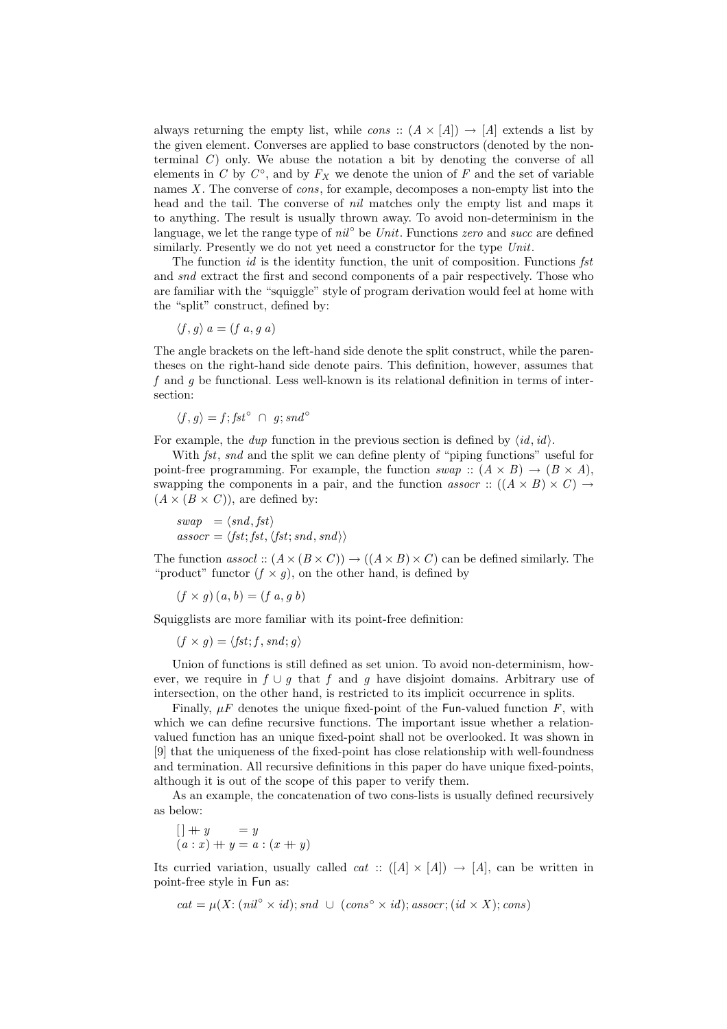always returning the empty list, while cons ::  $(A \times [A]) \rightarrow [A]$  extends a list by the given element. Converses are applied to base constructors (denoted by the nonterminal  $C$ ) only. We abuse the notation a bit by denoting the converse of all elements in C by  $C^{\circ}$ , and by  $F_X$  we denote the union of F and the set of variable names X. The converse of *cons*, for example, decomposes a non-empty list into the head and the tail. The converse of nil matches only the empty list and maps it to anything. The result is usually thrown away. To avoid non-determinism in the language, we let the range type of  $nil^{\circ}$  be Unit. Functions zero and succ are defined similarly. Presently we do not yet need a constructor for the type Unit.

The function id is the identity function, the unit of composition. Functions  $fst$ and snd extract the first and second components of a pair respectively. Those who are familiar with the "squiggle" style of program derivation would feel at home with the "split" construct, defined by:

$$
\langle f, g \rangle a = (f a, g a)
$$

The angle brackets on the left-hand side denote the split construct, while the parentheses on the right-hand side denote pairs. This definition, however, assumes that f and  $q$  be functional. Less well-known is its relational definition in terms of intersection:

$$
\langle f, g \rangle = f
$$
;  $fst^{\circ} \cap g$ ;  $snd^{\circ}$ 

For example, the *dup* function in the previous section is defined by  $\langle id, id \rangle$ .

With *fst*, snd and the split we can define plenty of "piping functions" useful for point-free programming. For example, the function swap ::  $(A \times B) \rightarrow (B \times A)$ , swapping the components in a pair, and the function assocr ::  $((A \times B) \times C) \rightarrow$  $(A \times (B \times C))$ , are defined by:

 $swap = \langle snd, fst \rangle$  $assoc = \langle \mathit{fst}; \mathit{fst}, \langle \mathit{fst}; \mathit{snd}, \mathit{snd} \rangle \rangle$ 

The function assocl ::  $(A \times (B \times C)) \rightarrow ((A \times B) \times C)$  can be defined similarly. The "product" functor  $(f \times g)$ , on the other hand, is defined by

$$
(f \times g) (a, b) = (f a, g b)
$$

Squigglists are more familiar with its point-free definition:

 $(f \times q) = \langle fst; f, \textit{snd}; q \rangle$ 

Union of functions is still defined as set union. To avoid non-determinism, however, we require in  $f \cup g$  that f and g have disjoint domains. Arbitrary use of intersection, on the other hand, is restricted to its implicit occurrence in splits.

Finally,  $\mu F$  denotes the unique fixed-point of the Fun-valued function  $F$ , with which we can define recursive functions. The important issue whether a relationvalued function has an unique fixed-point shall not be overlooked. It was shown in [9] that the uniqueness of the fixed-point has close relationship with well-foundness and termination. All recursive definitions in this paper do have unique fixed-points, although it is out of the scope of this paper to verify them.

As an example, the concatenation of two cons-lists is usually defined recursively as below:

$$
\begin{array}{ll} [\ ]+y &= y \\ (a:x) + y = a : (x + y) \end{array}
$$

Its curried variation, usually called *cat* ::  $([A] \times [A]) \rightarrow [A]$ , can be written in point-free style in Fun as:

$$
cat = \mu(X: (nil^{\circ} \times id);snd \cup (cons^{\circ} \times id); assoc; (id \times X); cons)
$$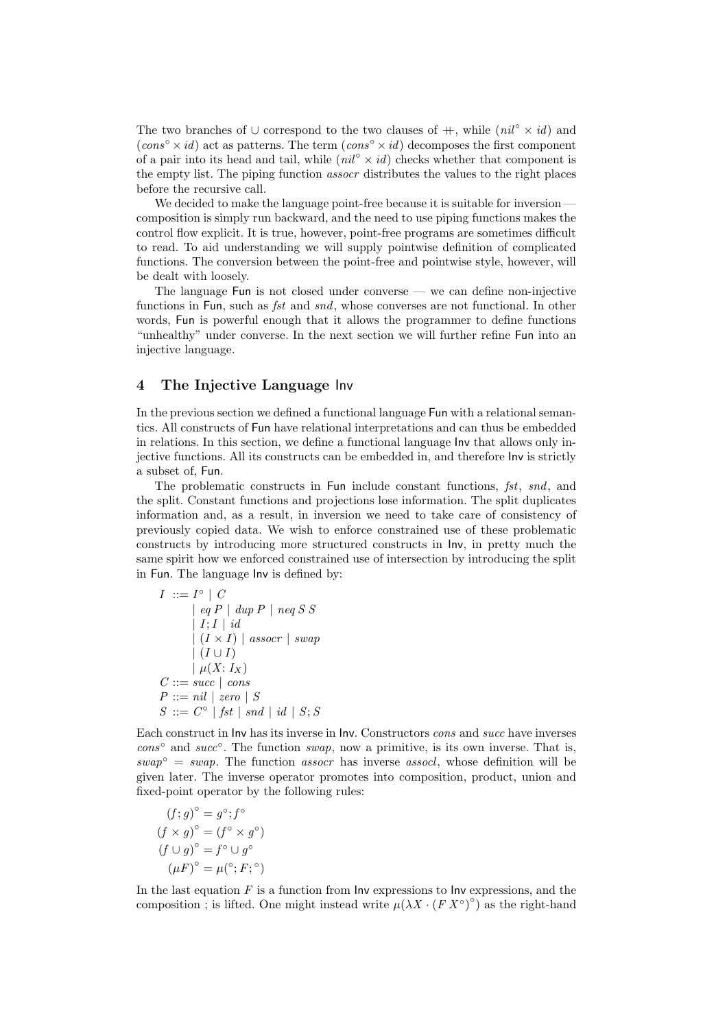The two branches of ∪ correspond to the two clauses of  $+$ , while  $(nil^{\circ} \times id)$  and  $(cons \circ \times id)$  act as patterns. The term  $(cons \circ \times id)$  decomposes the first component of a pair into its head and tail, while  $(nil^{\circ} \times id)$  checks whether that component is the empty list. The piping function assocr distributes the values to the right places before the recursive call.

We decided to make the language point-free because it is suitable for inversion – composition is simply run backward, and the need to use piping functions makes the control flow explicit. It is true, however, point-free programs are sometimes difficult to read. To aid understanding we will supply pointwise definition of complicated functions. The conversion between the point-free and pointwise style, however, will be dealt with loosely.

The language Fun is not closed under converse — we can define non-injective functions in Fun, such as *fst* and *snd*, whose converses are not functional. In other words, Fun is powerful enough that it allows the programmer to define functions "unhealthy" under converse. In the next section we will further refine Fun into an injective language.

### 4 The Injective Language Inv

In the previous section we defined a functional language Fun with a relational semantics. All constructs of Fun have relational interpretations and can thus be embedded in relations. In this section, we define a functional language Inv that allows only injective functions. All its constructs can be embedded in, and therefore Inv is strictly a subset of, Fun.

The problematic constructs in Fun include constant functions,  $fst, \, sal,$  and the split. Constant functions and projections lose information. The split duplicates information and, as a result, in inversion we need to take care of consistency of previously copied data. We wish to enforce constrained use of these problematic constructs by introducing more structured constructs in Inv, in pretty much the same spirit how we enforced constrained use of intersection by introducing the split in Fun. The language Inv is defined by:

$$
I ::= I^{\circ} | C
$$
  
\n
$$
| eq P | dup P | neg S S
$$
  
\n
$$
| I; I | id
$$
  
\n
$$
|(I \times I) | assocr | swap
$$
  
\n
$$
|(I \cup I)
$$
  
\n
$$
| \mu(X: I_X)
$$
  
\n
$$
C ::= succ | cons
$$
  
\n
$$
P ::= nil | zero | S
$$
  
\n
$$
S ::= C^{\circ} | fst | sand | id | S; S
$$

Each construct in Inv has its inverse in Inv. Constructors cons and succ have inverses  $cons<sup>°</sup>$  and  $succ<sup>°</sup>$ . The function  $swap$ , now a primitive, is its own inverse. That is,  $swap^{\circ} = swap$ . The function *assocr* has inverse *assocl*, whose definition will be given later. The inverse operator promotes into composition, product, union and fixed-point operator by the following rules:

$$
(f; g)° = g°; f°
$$
  
\n
$$
(f \times g)° = (f° \times g°)
$$
  
\n
$$
(f \cup g)° = f° \cup g°
$$
  
\n
$$
(\mu F)° = \mu(°; F;°)
$$

In the last equation  $F$  is a function from  $\ln v$  expressions to  $\ln v$  expressions, and the composition; is lifted. One might instead write  $\mu(\lambda X \cdot (FX^{\circ})^{\circ})$  as the right-hand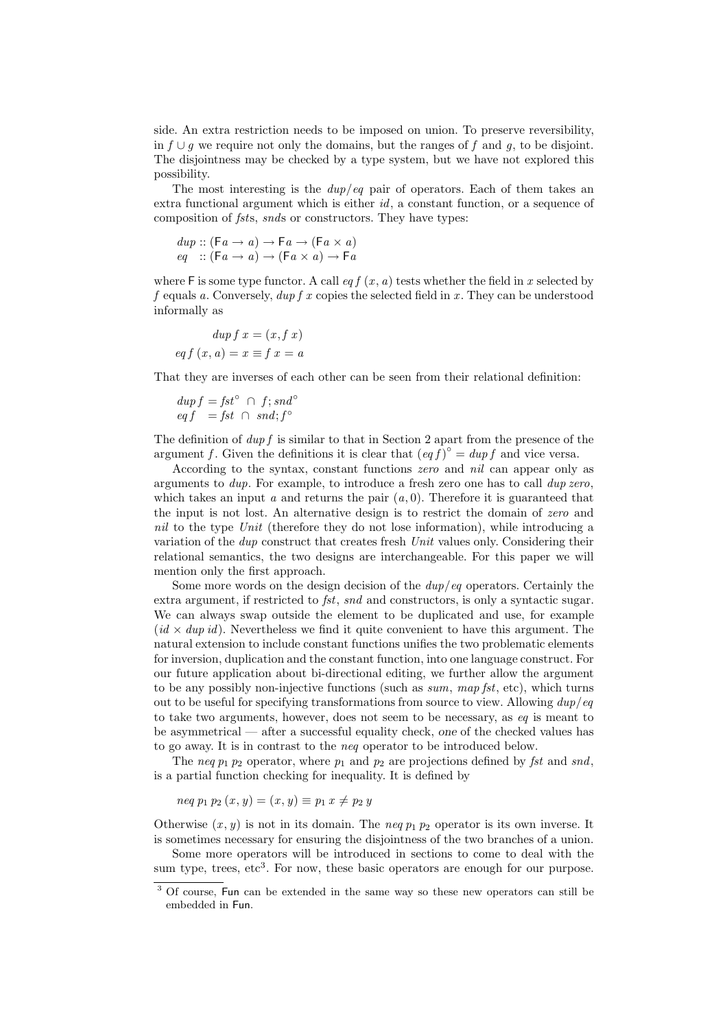side. An extra restriction needs to be imposed on union. To preserve reversibility, in  $f ∪ g$  we require not only the domains, but the ranges of f and g, to be disjoint. The disjointness may be checked by a type system, but we have not explored this possibility.

The most interesting is the  $dup/eq$  pair of operators. Each of them takes an extra functional argument which is either  $id$ , a constant function, or a sequence of composition of fsts, snds or constructors. They have types:

$$
dup :: (\mathsf{F}a \to a) \to \mathsf{F}a \to (\mathsf{F}a \times a)
$$
  

$$
eq :: (\mathsf{F}a \to a) \to (\mathsf{F}a \times a) \to \mathsf{F}a
$$

where F is some type functor. A call eq f  $(x, a)$  tests whether the field in x selected by f equals a. Conversely,  $dup f x$  copies the selected field in x. They can be understood informally as

$$
dup f x = (x, f x)
$$

$$
eq f (x, a) = x \equiv f x = a
$$

That they are inverses of each other can be seen from their relational definition:

$$
\begin{array}{c} \n\text{dup } f = \text{fst}^{\circ} \cap f; \text{snd}^{\circ} \\ \n\text{eq } f = \text{fst } \cap \text{snd}; f^{\circ} \n\end{array}
$$

The definition of  $\frac{dupf}{}$  is similar to that in Section 2 apart from the presence of the argument f. Given the definitions it is clear that  $\left( \operatorname{eq} f \right)^{\circ} = \operatorname{d}\! \operatorname{up} f$  and vice versa.

According to the syntax, constant functions zero and nil can appear only as arguments to dup. For example, to introduce a fresh zero one has to call dup zero, which takes an input  $a$  and returns the pair  $(a, 0)$ . Therefore it is guaranteed that the input is not lost. An alternative design is to restrict the domain of zero and nil to the type Unit (therefore they do not lose information), while introducing a variation of the *dup* construct that creates fresh *Unit* values only. Considering their relational semantics, the two designs are interchangeable. For this paper we will mention only the first approach.

Some more words on the design decision of the  $dup/eq$  operators. Certainly the extra argument, if restricted to fst, snd and constructors, is only a syntactic sugar. We can always swap outside the element to be duplicated and use, for example  $(id \times dup\ id)$ . Nevertheless we find it quite convenient to have this argument. The natural extension to include constant functions unifies the two problematic elements for inversion, duplication and the constant function, into one language construct. For our future application about bi-directional editing, we further allow the argument to be any possibly non-injective functions (such as  $sum, map fst$ , etc), which turns out to be useful for specifying transformations from source to view. Allowing  $dup/eq$ to take two arguments, however, does not seem to be necessary, as  $eq$  is meant to be asymmetrical — after a successful equality check, one of the checked values has to go away. It is in contrast to the neq operator to be introduced below.

The neq  $p_1$   $p_2$  operator, where  $p_1$  and  $p_2$  are projections defined by fst and snd, is a partial function checking for inequality. It is defined by

$$
neq p_1 p_2 (x, y) = (x, y) \equiv p_1 x \neq p_2 y
$$

Otherwise  $(x, y)$  is not in its domain. The neg  $p_1$   $p_2$  operator is its own inverse. It is sometimes necessary for ensuring the disjointness of the two branches of a union.

Some more operators will be introduced in sections to come to deal with the sum type, trees,  $etc<sup>3</sup>$ . For now, these basic operators are enough for our purpose.

<sup>3</sup> Of course, Fun can be extended in the same way so these new operators can still be embedded in Fun.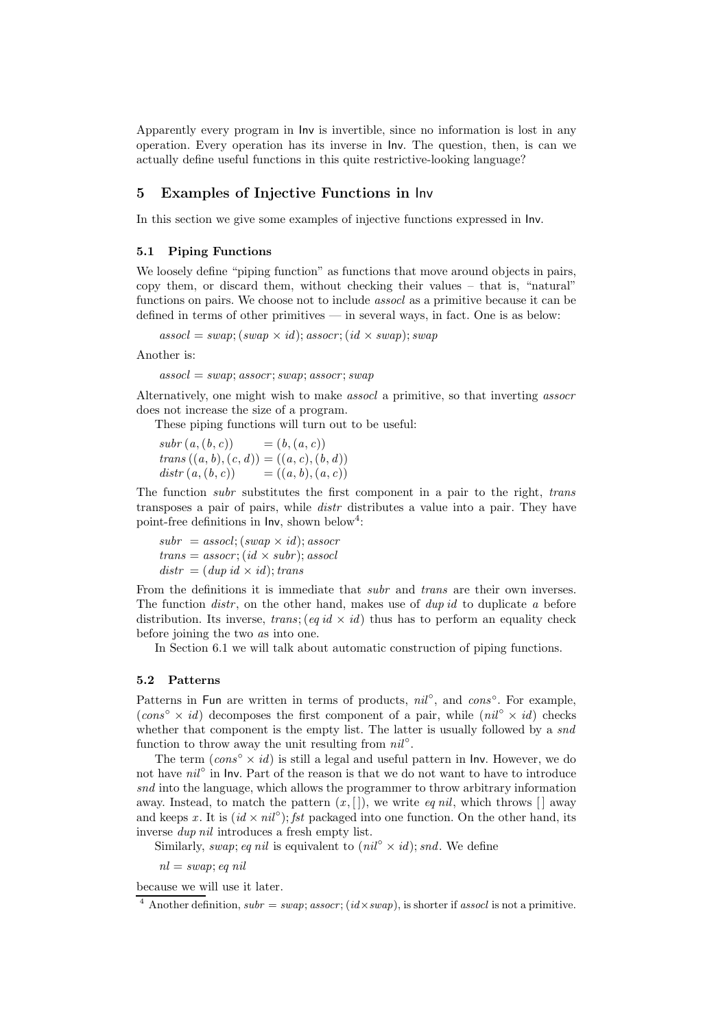Apparently every program in Inv is invertible, since no information is lost in any operation. Every operation has its inverse in Inv. The question, then, is can we actually define useful functions in this quite restrictive-looking language?

# 5 Examples of Injective Functions in Inv

In this section we give some examples of injective functions expressed in Inv.

### 5.1 Piping Functions

We loosely define "piping function" as functions that move around objects in pairs, copy them, or discard them, without checking their values – that is, "natural" functions on pairs. We choose not to include assocl as a primitive because it can be defined in terms of other primitives — in several ways, in fact. One is as below:

 $assocl = swap; (swap \times id); assocr; (id \times swap); swap$ 

Another is:

 $assocl = swap; assocr; swap; assocr; swap$ 

Alternatively, one might wish to make *assocl* a primitive, so that inverting *assocr* does not increase the size of a program.

These piping functions will turn out to be useful:

 $subr(a, (b, c)) = (b, (a, c))$  $trans ((a, b), (c, d)) = ((a, c), (b, d))$ distr  $(a, (b, c))$  =  $((a, b), (a, c))$ 

The function *subr* substitutes the first component in a pair to the right, trans transposes a pair of pairs, while distr distributes a value into a pair. They have point-free definitions in lnv, shown below<sup>4</sup>:

 $subr = assocl; (swap \times id); assocr$  $trans = assoc$ ; (id  $\times subr$ ); assocl  $distr = (dup id \times id); trans$ 

From the definitions it is immediate that *subr* and *trans* are their own inverses. The function *distr*, on the other hand, makes use of  $dupid$  to duplicate a before distribution. Its inverse, trans; (eq id  $\times$  id) thus has to perform an equality check before joining the two as into one.

In Section 6.1 we will talk about automatic construction of piping functions.

## 5.2 Patterns

Patterns in Fun are written in terms of products,  $nil^{\circ}$ , and  $cons^{\circ}$ . For example, (cons<sup>∘</sup>  $\times id$ ) decomposes the first component of a pair, while (ni<sup>o</sup>  $\times id$ ) checks whether that component is the empty list. The latter is usually followed by a snd function to throw away the unit resulting from  $nil^{\circ}$ .

The term  $(cons \circ \times id)$  is still a legal and useful pattern in Inv. However, we do not have  $nil^{\circ}$  in lnv. Part of the reason is that we do not want to have to introduce snd into the language, which allows the programmer to throw arbitrary information away. Instead, to match the pattern  $(x, [])$ , we write eq nil, which throws  $[]$  away and keeps x. It is  $(id \times nil^{\circ})$ ; *fst* packaged into one function. On the other hand, its inverse dup nil introduces a fresh empty list.

Similarly, swap; eq nil is equivalent to  $(nil^{\circ} \times id)$ ; snd. We define

 $nl = swap$ ; eq nil

because we will use it later.

Another definition,  $subr = swap$ ; assocr; ( $id \times swap$ ), is shorter if assocl is not a primitive.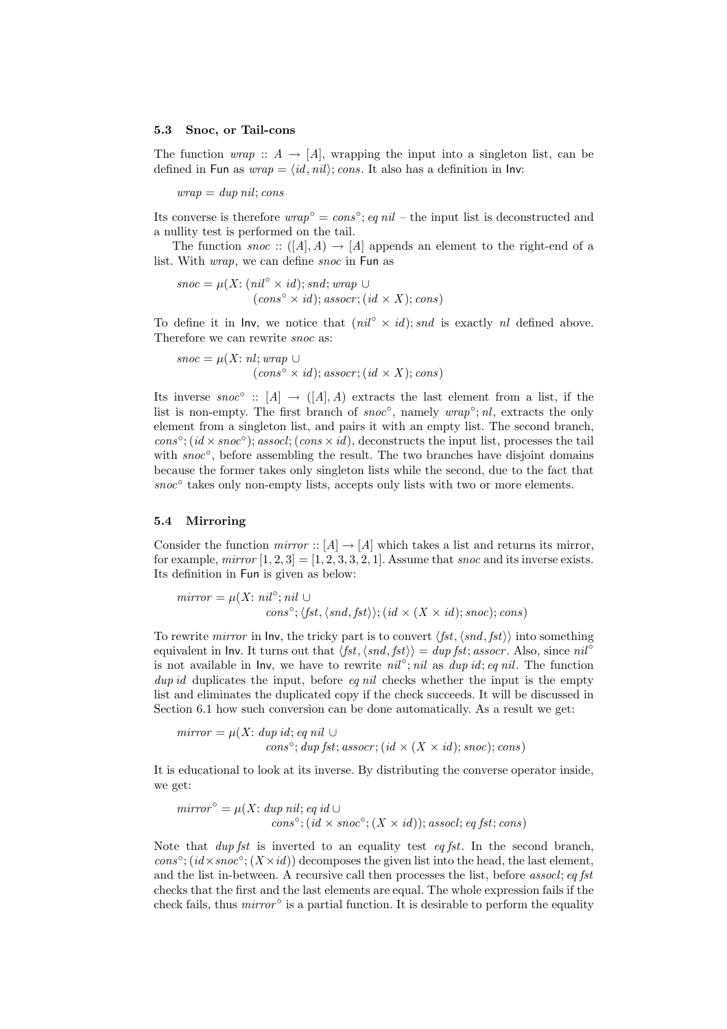#### 5.3 Snoc, or Tail-cons

The function *wrap* ::  $A \rightarrow [A]$ , wrapping the input into a singleton list, can be defined in Fun as  $wrap = \langle id, nil \rangle$ ; cons. It also has a definition in Inv:

 $wrap = dup\ nil;cons$ 

Its converse is therefore  $wrap° = cons°$ ; eq nil – the input list is deconstructed and a nullity test is performed on the tail.

The function  $snoc$  ::  $([A], A) \rightarrow [A]$  appends an element to the right-end of a list. With wrap, we can define snoc in Fun as

 $snoc = \mu(X: (nil^{\circ} \times id); snd; wrap \cup$  $(cons \degree \times id)$ ; assocr;  $(id \times X)$ ; cons)

To define it in lnv, we notice that  $(nil^{\circ} \times id)$ ; snd is exactly nl defined above. Therefore we can rewrite snoc as:

$$
snoc = \mu(X: nl; wrap \cup (cons^{\circ} \times id); assoc; (id \times X); cons)
$$

Its inverse snoc° ::  $[A] \rightarrow ([A], A)$  extracts the last element from a list, if the list is non-empty. The first branch of snoc<sup>°</sup>, namely wrap<sup>°</sup>; nl, extracts the only element from a singleton list, and pairs it with an empty list. The second branch, cons<sup>°</sup>; (id × snoc<sup>°</sup>); assocl; (cons × id), deconstructs the input list, processes the tail with snoc°, before assembling the result. The two branches have disjoint domains because the former takes only singleton lists while the second, due to the fact that  $snoc<sup>°</sup>$  takes only non-empty lists, accepts only lists with two or more elements.

## 5.4 Mirroring

Consider the function *mirror* ::  $[A] \rightarrow [A]$  which takes a list and returns its mirror, for example,  $mirror [1, 2, 3] = [1, 2, 3, 3, 2, 1]$ . Assume that *snoc* and its inverse exists. Its definition in Fun is given as below:

$$
mirror = \mu(X: nil^{\circ}; nil \cup \text{cons}^{\circ}; \langle \mathit{fst}, \langle \mathit{snd}, \mathit{fst} \rangle \rangle; (id \times (X \times id); snoc); cons)
$$

To rewrite mirror in lnv, the tricky part is to convert  $\langle fst, \langle snd, fst \rangle \rangle$  into something equivalent in lnv. It turns out that  $\langle fst, \langle snd, fst \rangle \rangle = dup fst; assocr$ . Also, since nil<sup>°</sup> is not available in lnv, we have to rewrite  $nil^{\circ}; nil$  as  $dup$  id; eq nil. The function dup id duplicates the input, before *eq nil* checks whether the input is the empty list and eliminates the duplicated copy if the check succeeds. It will be discussed in Section 6.1 how such conversion can be done automatically. As a result we get:

 $mirror = \mu(X: dup id; eq nil \cup$ cons°; dup fst; assocr; (id  $\times$  (X  $\times$  id); snoc); cons)

It is educational to look at its inverse. By distributing the converse operator inside, we get:

 $mirror^{\circ} = \mu(X: dup\ nil; eq\ id\ \cup$  $cons<sup>°</sup>$ ; (id  $\times snoc<sup>°</sup>$ ; (X  $\times id$ )); assocl; eq fst; cons)

Note that  $\frac{dup}{st}$  is inverted to an equality test  $\frac{eq}{st}$ . In the second branch, cons°;  $(id \times snoc$ °;  $(X \times id)$  decomposes the given list into the head, the last element, and the list in-between. A recursive call then processes the list, before *assocl*; eq fst checks that the first and the last elements are equal. The whole expression fails if the check fails, thus  $mirror^{\circ}$  is a partial function. It is desirable to perform the equality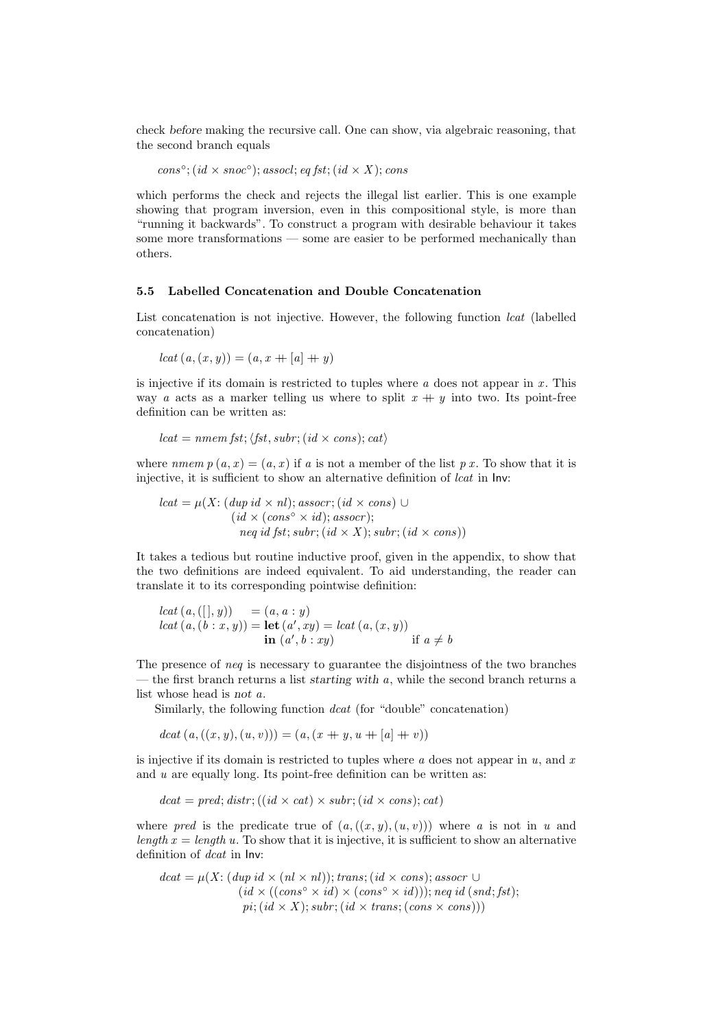check before making the recursive call. One can show, via algebraic reasoning, that the second branch equals

 $cons$ <sup>°</sup>; (id  $\times snoc$ <sup>°</sup>); assocl; eq fst; (id  $\times$  X); cons

which performs the check and rejects the illegal list earlier. This is one example showing that program inversion, even in this compositional style, is more than "running it backwards". To construct a program with desirable behaviour it takes some more transformations — some are easier to be performed mechanically than others.

### 5.5 Labelled Concatenation and Double Concatenation

List concatenation is not injective. However, the following function *lcat* (labelled concatenation)

 $lcat (a, (x, y)) = (a, x + [a] + y)$ 

is injective if its domain is restricted to tuples where  $a$  does not appear in  $x$ . This way a acts as a marker telling us where to split  $x + y$  into two. Its point-free definition can be written as:

```
lcat = nmem fst; \langle fst, subr; (id \times cons); cat \rangle
```
where nmem  $p(a, x) = (a, x)$  if a is not a member of the list p x. To show that it is injective, it is sufficient to show an alternative definition of lcat in Inv:

$$
lcat = \mu(X: (dup id \times nl); assoc; (id \times cons) \cup
$$
  
\n
$$
(id \times (cons^{\circ} \times id); assoc);
$$
  
\n
$$
neg id fst; subr; (id \times X); subr; (id \times cons))
$$

It takes a tedious but routine inductive proof, given in the appendix, to show that the two definitions are indeed equivalent. To aid understanding, the reader can translate it to its corresponding pointwise definition:

$$
lcat (a, ([], y)) = (a, a : y)
$$
  
\n
$$
lcat (a, (b : x, y)) = let (a', xy) = lcat (a, (x, y))
$$
  
\n**in** (a', b : xy) if a \neq b

The presence of *neq* is necessary to guarantee the disjointness of the two branches — the first branch returns a list starting with  $a$ , while the second branch returns a list whose head is not a.

Similarly, the following function *dcat* (for "double" concatenation)

 $dcat (a, ((x, y), (u, v))) = (a, (x + y, u + [a] + v))$ 

is injective if its domain is restricted to tuples where  $a$  does not appear in  $u$ , and  $x$ and  $u$  are equally long. Its point-free definition can be written as:

 $dcat = pred; distr; ((id \times cat) \times subr; (id \times cons); cat)$ 

where pred is the predicate true of  $(a,((x, y), (u, v)))$  where a is not in u and length  $x = length u$ . To show that it is injective, it is sufficient to show an alternative definition of dcat in Inv:

$$
dcat = \mu(X: (dup id \times (nl \times nl)); trans; (id \times cons); assoc \cup (id \times ((cons^{\circ} \times id) \times (cons^{\circ} \times id)))); neg id (snd; fst);pi; (id \times X); subr; (id \times trans; (cons \times cons)))
$$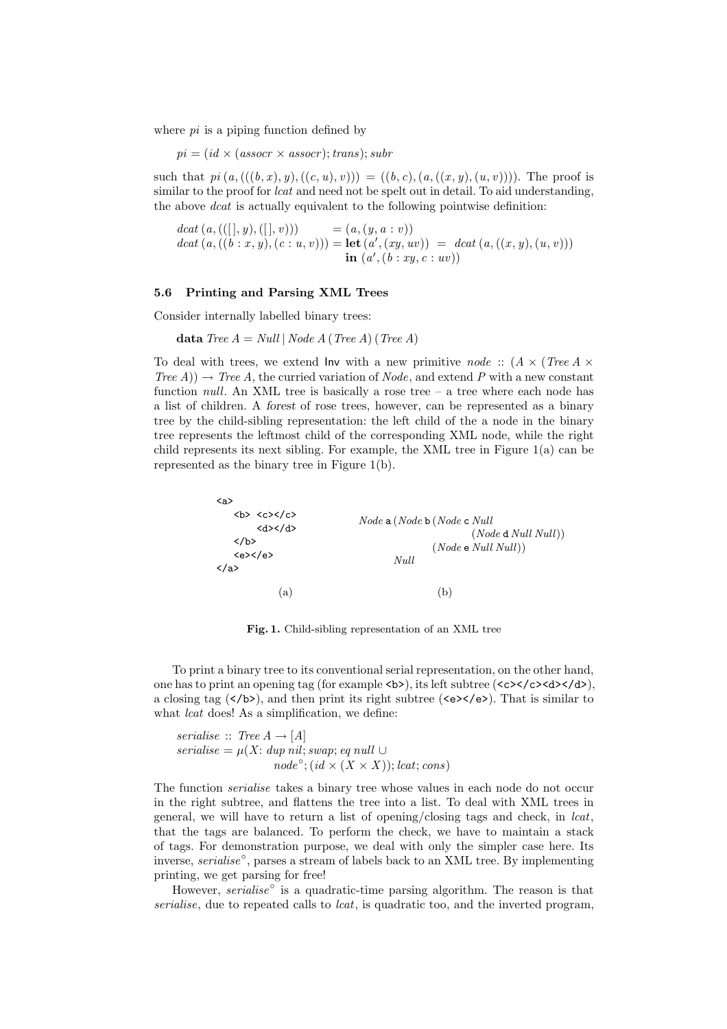where  $pi$  is a piping function defined by

$$
pi = (id \times (assoc \times assoc); trans); subr
$$

such that  $pi (a, ((b, x), y), ((c, u), v))) = ((b, c), (a, ((x, y), (u, v))))$ . The proof is similar to the proof for *lcat* and need not be spelt out in detail. To aid understanding, the above dcat is actually equivalent to the following pointwise definition:

dcat  $(a, (([ \,], y), ([ \,], v)))$  =  $(a, (y, a : v))$ dcat  $(a, ((b : x, y), (c : u, v))) = \text{let } (a', (xy, uv)) = dcat (a, ((x, y), (u, v)))$  $\text{in} \, (a', (b:xy, c:uv))$ 

#### 5.6 Printing and Parsing XML Trees

Consider internally labelled binary trees:

data Tree  $A = Null | Node A (Tree A) (Tree A)$ 

To deal with trees, we extend lnv with a new primitive node ::  $(A \times (Tree A \times$ Tree A))  $\rightarrow$  Tree A, the curried variation of Node, and extend P with a new constant function *null*. An XML tree is basically a rose tree  $-$  a tree where each node has a list of children. A forest of rose trees, however, can be represented as a binary tree by the child-sibling representation: the left child of the a node in the binary tree represents the leftmost child of the corresponding XML node, while the right child represents its next sibling. For example, the XML tree in Figure 1(a) can be represented as the binary tree in Figure 1(b).

```
<a>
   <b> <c></c>
       <d><d>\langle/b>
   <e></e>
</a>
                        Node a (Node b (Node c Null
                                            (Node \, d Null Null)(Node \in Null Null)Null
           (a) (b)
```
Fig. 1. Child-sibling representation of an XML tree

To print a binary tree to its conventional serial representation, on the other hand, one has to print an opening tag (for example  $\langle$ b>), its left subtree ( $\langle$ c> $\langle$ c> $\langle$ d> $\langle$ d>), a closing tag  $(\langle\angle b\rangle)$ , and then print its right subtree  $(\langle e\rangle\langle e\rangle)$ . That is similar to what *lcat* does! As a simplification, we define:

serialise  $:: \text{Tree } A \rightarrow [A]$ serialise =  $\mu$ (X: dup nil; swap; eq null ∪  $node^{\circ}$ ;  $(id \times (X \times X))$ ; lcat; cons)

The function serialise takes a binary tree whose values in each node do not occur in the right subtree, and flattens the tree into a list. To deal with XML trees in general, we will have to return a list of opening/closing tags and check, in  $lcat$ , that the tags are balanced. To perform the check, we have to maintain a stack of tags. For demonstration purpose, we deal with only the simpler case here. Its inverse, *serialise*°, parses a stream of labels back to an XML tree. By implementing printing, we get parsing for free!

However, *serialise*° is a quadratic-time parsing algorithm. The reason is that serialise, due to repeated calls to *lcat*, is quadratic too, and the inverted program,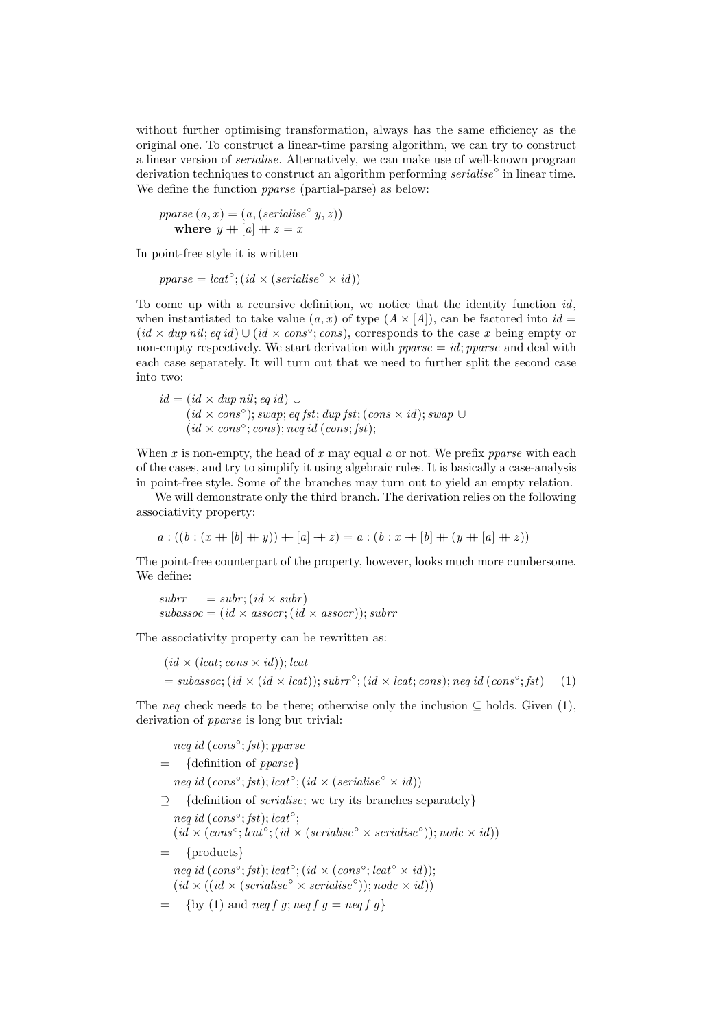without further optimising transformation, always has the same efficiency as the original one. To construct a linear-time parsing algorithm, we can try to construct a linear version of serialise. Alternatively, we can make use of well-known program derivation techniques to construct an algorithm performing serialise<sup>°</sup> in linear time. We define the function pparse (partial-parse) as below:

$$
pparse(a, x) = (a, (serialiseo y, z))
$$
  
where  $y + [a] + z = x$ 

In point-free style it is written

 $pparse = lact°; (id \times (serialise° \times id))$ 

To come up with a recursive definition, we notice that the identity function  $id$ , when instantiated to take value  $(a, x)$  of type  $(A \times [A])$ , can be factored into  $id =$  $(id \times dup\ nil; eq\ id) \cup (id \times cons°; cons), corresponds to the case x being empty or$ non-empty respectively. We start derivation with  $pparse = id$ ; pparse and deal with each case separately. It will turn out that we need to further split the second case into two:

$$
id = (id \times dup \; nil; eq \; id) \cup
$$
  
(id \times cons°); swap; eq \;fst; dup \;fst; (cons \times id); swap \cup  
(id \times cons°; cons); neg \;id (cons;fst);

When x is non-empty, the head of x may equal a or not. We prefix *pparse* with each of the cases, and try to simplify it using algebraic rules. It is basically a case-analysis in point-free style. Some of the branches may turn out to yield an empty relation.

We will demonstrate only the third branch. The derivation relies on the following associativity property:

$$
a: ((b: (x + [b] + y)) + [a] + z) = a: (b: x + [b] + (y + [a] + z))
$$

The point-free counterpart of the property, however, looks much more cumbersome. We define:

```
subrr = subr; (id \times subr)subassoc = (id \times assoc; (id \times assoc); suberror
```
The associativity property can be rewritten as:

```
(id \times (lcat; cons \times id)); lcat= subssoc; (id \times (id \times lcat)); subrr°; (id \times lcat; cons); neg id (cons°; fst) (1)
```
The neg check needs to be there; otherwise only the inclusion  $\subseteq$  holds. Given (1), derivation of pparse is long but trivial:

```
neq id (cons◦
; fst); pparse
= {definition of pparse}
   neg \ id \ (cons^{\circ}; fst); \ lcat^{\circ}; (id \times (serialise^{\circ} \times id))⊇ {definition of serialise; we try its branches separately}
   neq id (cons^{\circ};fst); lcat^{\circ};(id \times (cons^{\circ}; lead^{\circ}; (id \times (serialise^{\circ} \times serialise^{\circ})); node \times id))= {products}
   neq id (cons^{\circ};fst); lcat^{\circ}; (id \times (cons^{\circ}; lcat^{\circ} \times id));(id \times ((id \times (serialise^{\circ} \times serialise^{\circ})); node \times id))= {by (1) and neq f g; neq f g = neq f g}
```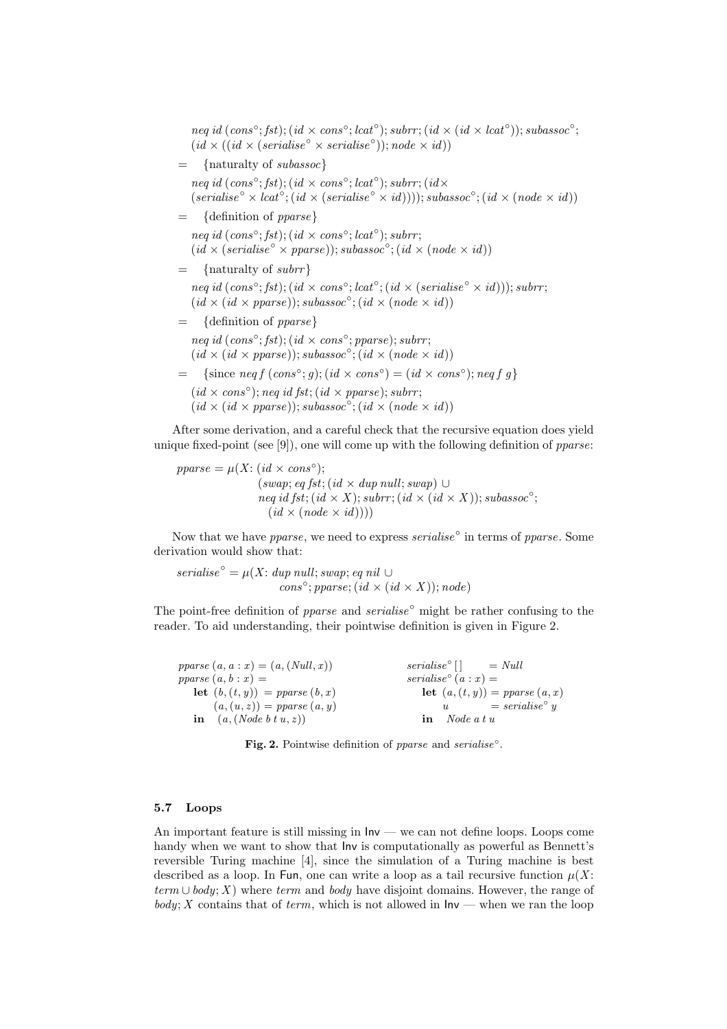neq id  $(cons°; fst); (id \times cons°; lcat°); subrr; (id \times (id \times lcat°)); subssoc°;$  $(id \times ((id \times (serialise^{\circ} \times serialise^{\circ})); node \times id))$ = {naturalty of subassoc} neq id  $(cons\textdegree;fst); (id \times cons\textdegree; lcat\textdegree); subrr; (id \times$  $(scrialise^{\circ} \times leat^{\circ}; (id \times (serialise^{\circ} \times id))))$ ; subassoc<sup>°</sup>;  $(id \times (node \times id))$ = {definition of pparse}  $neg\ id\ (cons^{\circ};fst); (id \times cons^{\circ}; lcat^{\circ}); subrr;$  $(id \times (serialise^{\circ} \times sparse))$ ; subassoc<sup>°</sup>;  $(id \times (node \times id))$  $=$  {naturalty of *subrr*} neq id  $(cons^{\circ};fst); (id \times cons^{\circ}; lcat^{\circ}; (id \times (serialise^{\circ} \times id)))$ ; subrr;  $(id \times (id \times sparse))$ ; subassoc°;  $(id \times (node \times id))$  $=$  {definition of *pparse*}  $neg\ id\ (cons\circ;fst); (id \times cons\circ; sparse); subrr;$  $(id \times (id \times sparse))$ ; subassoc°;  $(id \times (node \times id))$ = {since  $neg f (cons<sup>°</sup>; g); (id \times cons<sup>°</sup>) = (id \times cons<sup>°</sup>)$ ; neq f g}

 $(id \times cons°);$  neq id fst;  $(id \times sparse);$  subrr;  $(id \times (id \times sparse))$ ; subassoc<sup>°</sup>;  $(id \times (node \times id))$ 

After some derivation, and a careful check that the recursive equation does yield unique fixed-point (see  $[9]$ ), one will come up with the following definition of *pparse*:

 $pparse = \mu(X: (id \times cons<sup>°</sup>);$  $(swap; eq\,fst; (id \times dup\, null; swap) \cup$ neq id fst; (id × X); subrr; (id × (id × X)); subassoc°;  $(id \times (node \times id)))$ 

Now that we have *pparse*, we need to express *serialise*<sup>°</sup> in terms of *pparse*. Some derivation would show that:

serialise° =  $\mu$ (X: dup null; swap; eq nil ∪  $cons<sup>°</sup>; sparse; (id × (id × X)); node)$ 

The point-free definition of *pparse* and *serialise*<sup> $\circ$ </sup> might be rather confusing to the reader. To aid understanding, their pointwise definition is given in Figure 2.

| pparse $(a, a: x) = (a, (Null, x))$            | $\text{serialise}^{\circ}$ $  \cdot  $ = $\text{Null}$ |
|------------------------------------------------|--------------------------------------------------------|
| pparse $(a, b : x) =$                          | $\text{serialise}^{\circ}(a:x) =$                      |
| <b>let</b> $(b, (t, y)) = \text{pparse}(b, x)$ | let $(a, (t, y)) = pparse(a, x)$                       |
| $(a, (u, z)) = pparse(a, y)$                   | $u = serialise^{\circ} u$                              |
| in $(a, (Node b t u, z))$                      | $\mathbf{in}$ Node at u                                |
|                                                |                                                        |

Fig. 2. Pointwise definition of *pparse* and *serialise*°.

### 5.7 Loops

An important feature is still missing in  $Inv -$  we can not define loops. Loops come handy when we want to show that Inv is computationally as powerful as Bennett's reversible Turing machine [4], since the simulation of a Turing machine is best described as a loop. In Fun, one can write a loop as a tail recursive function  $\mu(X)$ : term  $\cup$  body; X) where term and body have disjoint domains. However, the range of  $body; X$  contains that of *term*, which is not allowed in  $Inv$  — when we ran the loop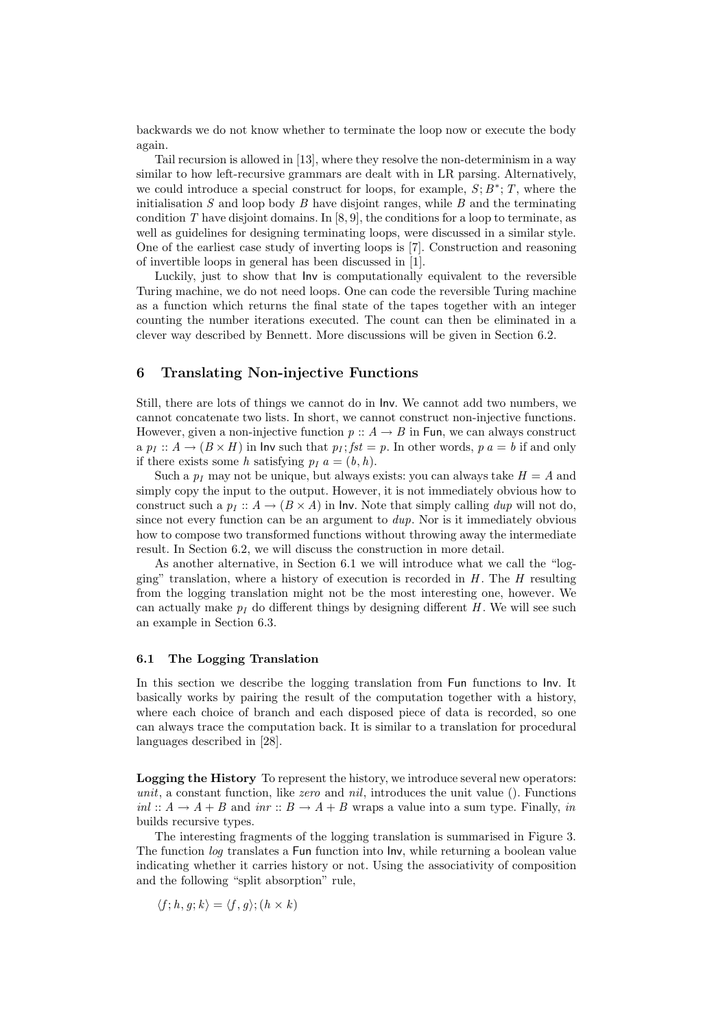backwards we do not know whether to terminate the loop now or execute the body again.

Tail recursion is allowed in [13], where they resolve the non-determinism in a way similar to how left-recursive grammars are dealt with in LR parsing. Alternatively, we could introduce a special construct for loops, for example,  $S; B^*; T$ , where the initialisation  $S$  and loop body  $B$  have disjoint ranges, while  $B$  and the terminating condition T have disjoint domains. In  $[8, 9]$ , the conditions for a loop to terminate, as well as guidelines for designing terminating loops, were discussed in a similar style. One of the earliest case study of inverting loops is [7]. Construction and reasoning of invertible loops in general has been discussed in [1].

Luckily, just to show that Inv is computationally equivalent to the reversible Turing machine, we do not need loops. One can code the reversible Turing machine as a function which returns the final state of the tapes together with an integer counting the number iterations executed. The count can then be eliminated in a clever way described by Bennett. More discussions will be given in Section 6.2.

## 6 Translating Non-injective Functions

Still, there are lots of things we cannot do in Inv. We cannot add two numbers, we cannot concatenate two lists. In short, we cannot construct non-injective functions. However, given a non-injective function  $p :: A \rightarrow B$  in Fun, we can always construct a  $p_1: A \to (B \times H)$  in lnv such that  $p_i$ ;  $fst = p$ . In other words,  $p a = b$  if and only if there exists some h satisfying  $p_I a = (b, h)$ .

Such a  $p_I$  may not be unique, but always exists: you can always take  $H = A$  and simply copy the input to the output. However, it is not immediately obvious how to construct such a  $p_1 : A \to (B \times A)$  in lnv. Note that simply calling dup will not do, since not every function can be an argument to *dup*. Nor is it immediately obvious how to compose two transformed functions without throwing away the intermediate result. In Section 6.2, we will discuss the construction in more detail.

As another alternative, in Section 6.1 we will introduce what we call the "logging" translation, where a history of execution is recorded in  $H$ . The  $H$  resulting from the logging translation might not be the most interesting one, however. We can actually make  $p_I$  do different things by designing different H. We will see such an example in Section 6.3.

### 6.1 The Logging Translation

In this section we describe the logging translation from Fun functions to Inv. It basically works by pairing the result of the computation together with a history, where each choice of branch and each disposed piece of data is recorded, so one can always trace the computation back. It is similar to a translation for procedural languages described in [28].

Logging the History To represent the history, we introduce several new operators: unit, a constant function, like zero and nil, introduces the unit value (). Functions inl ::  $A \rightarrow A + B$  and inr ::  $B \rightarrow A + B$  wraps a value into a sum type. Finally, in builds recursive types.

The interesting fragments of the logging translation is summarised in Figure 3. The function log translates a Fun function into Inv, while returning a boolean value indicating whether it carries history or not. Using the associativity of composition and the following "split absorption" rule,

$$
\langle f; h, g; k \rangle = \langle f, g \rangle; (h \times k)
$$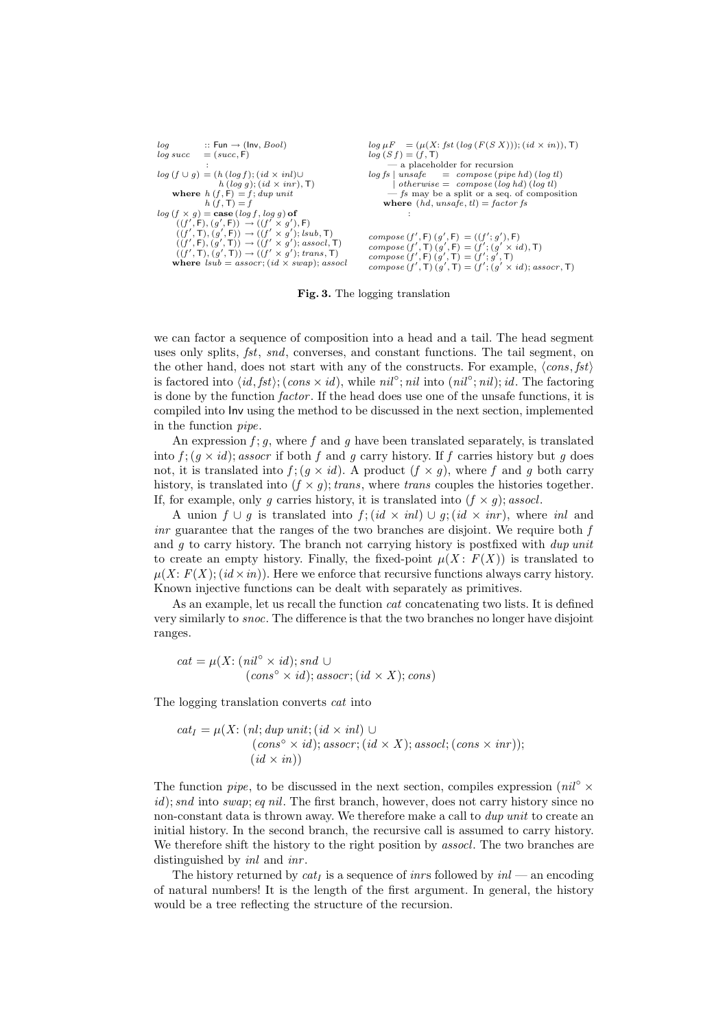log :: Fun → (Inv, Bool) log succ = (succ, F) : log (f ∪ g) = (h (log f ); (id × inl)∪ h (log g); (id × inr), T) where h (f , F) = f ; dup unit h (f , T) = f log (f × g) = case (log f , log g) of ((f 0 , F), (g 0 , F)) → ((f <sup>0</sup> × g 0 ), F) ((f 0 , T), (g 0 , F)) → ((f <sup>0</sup> × g 0 ); lsub, T) ((f 0 , F), (g 0 , T)) → ((f <sup>0</sup> × g 0 ); assocl, T) ((f 0 , T), (g 0 , T)) → ((f <sup>0</sup> × g 0 );trans, T) where lsub = assocr; (id × swap); assocl log µF = (µ(X: fst (log (F(S X ))); (id × in)), T) log (S f ) = (f , T) — a placeholder for recursion log fs | unsafe = compose (pipe hd) (log tl) | otherwise = compose (log hd) (log tl) — fs may be a split or a seq. of composition where (hd, unsafe,tl) = factor fs : compose (f 0 , F) (g 0 , F) = ((f 0 ; g 0 ), F) compose (f 0 , T) (g 0 , F) = (f 0 ; (g <sup>0</sup> <sup>×</sup> id), <sup>T</sup>) compose (f 0 , F) (g 0 , T) = (f 0 ; g 0 , T) compose (f 0 , T) (g 0 , T) = (f 0 ; (g <sup>0</sup> <sup>×</sup> id); assocr, <sup>T</sup>)

Fig. 3. The logging translation

we can factor a sequence of composition into a head and a tail. The head segment uses only splits, *fst, snd*, converses, and constant functions. The tail segment, on the other hand, does not start with any of the constructs. For example,  $\langle \text{cons}, \text{fst} \rangle$ is factored into  $\langle id, fst \rangle$ ; (cons  $\times id$ ), while nil<sup>o</sup>; nil into (nil<sup>o</sup>; nil); id. The factoring is done by the function factor . If the head does use one of the unsafe functions, it is compiled into Inv using the method to be discussed in the next section, implemented in the function pipe.

An expression  $f$ ;  $g$ , where  $f$  and  $g$  have been translated separately, is translated into  $f$ ;  $(g \times id)$ ; assocr if both f and g carry history. If f carries history but g does not, it is translated into  $f$ ;  $(g \times id)$ . A product  $(f \times g)$ , where f and g both carry history, is translated into  $(f \times g)$ ; trans, where trans couples the histories together. If, for example, only g carries history, it is translated into  $(f \times g)$ ; assocl.

A union  $f \cup g$  is translated into  $f$ ;  $(id \times inl) \cup g$ ;  $(id \times inr)$ , where inl and  $\dot{m}$  guarantee that the ranges of the two branches are disjoint. We require both  $f$ and  $q$  to carry history. The branch not carrying history is postfixed with *dup unit* to create an empty history. Finally, the fixed-point  $\mu(X; F(X))$  is translated to  $\mu(X; F(X); (id \times in))$ . Here we enforce that recursive functions always carry history. Known injective functions can be dealt with separately as primitives.

As an example, let us recall the function cat concatenating two lists. It is defined very similarly to snoc. The difference is that the two branches no longer have disjoint ranges.

$$
cat = \mu(X: (nil^{\circ} \times id);snd \cup
$$
  

$$
(cons^{\circ} \times id); assoc; (id \times X); cons)
$$

The logging translation converts cat into

$$
cat_I = \mu(X: (nl; dup unit; (id \times inl)) \cup
$$
  

$$
(cons^{\circ} \times id); assoc; (id \times X); associ; (cons \times inr));
$$
  

$$
(id \times in))
$$

The function pipe, to be discussed in the next section, compiles expression (nil<sup>o</sup>  $\times$ id); snd into swap; eq nil. The first branch, however, does not carry history since no non-constant data is thrown away. We therefore make a call to dup unit to create an initial history. In the second branch, the recursive call is assumed to carry history. We therefore shift the history to the right position by *assocl*. The two branches are distinguished by *inl* and *inr*.

The history returned by  $cat_I$  is a sequence of *inrs* followed by  $inI$  — an encoding of natural numbers! It is the length of the first argument. In general, the history would be a tree reflecting the structure of the recursion.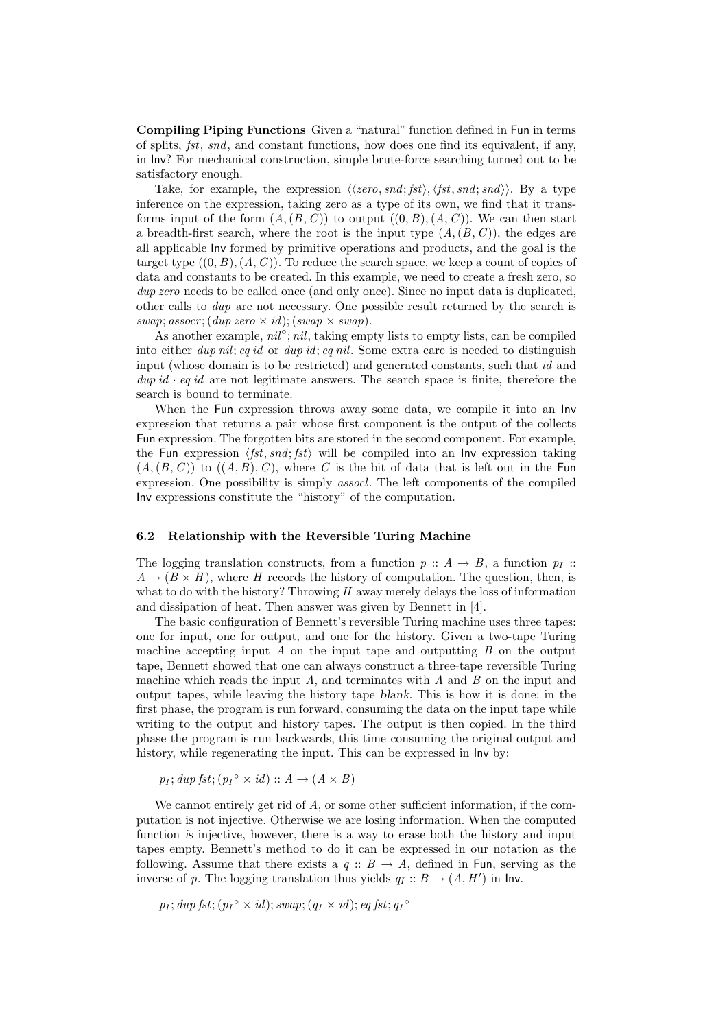Compiling Piping Functions Given a "natural" function defined in Fun in terms of splits, fst, snd, and constant functions, how does one find its equivalent, if any, in Inv? For mechanical construction, simple brute-force searching turned out to be satisfactory enough.

Take, for example, the expression  $\langle \langle zero, \mathit{snd}; \mathit{fst}\rangle, \langle \mathit{fst}, \mathit{snd}; \mathit{snd}\rangle \rangle$ . By a type inference on the expression, taking zero as a type of its own, we find that it transforms input of the form  $(A, (B, C))$  to output  $((0, B), (A, C))$ . We can then start a breadth-first search, where the root is the input type  $(A, (B, C))$ , the edges are all applicable Inv formed by primitive operations and products, and the goal is the target type  $((0, B), (A, C))$ . To reduce the search space, we keep a count of copies of data and constants to be created. In this example, we need to create a fresh zero, so dup zero needs to be called once (and only once). Since no input data is duplicated, other calls to dup are not necessary. One possible result returned by the search is swap; assocr;  $(dup zero \times id)$ ;  $(swap \times swap)$ .

As another example,  $nil^{\circ}$ ; nil, taking empty lists to empty lists, can be compiled into either dup nil; eq id or dup id; eq nil. Some extra care is needed to distinguish input (whose domain is to be restricted) and generated constants, such that id and  $dup id \cdot eq id$  are not legitimate answers. The search space is finite, therefore the search is bound to terminate.

When the Fun expression throws away some data, we compile it into an Inv expression that returns a pair whose first component is the output of the collects Fun expression. The forgotten bits are stored in the second component. For example, the Fun expression  $\langle fst, \mathit{snd}; \mathit{fst} \rangle$  will be compiled into an Inv expression taking  $(A,(B, C))$  to  $((A, B), C)$ , where C is the bit of data that is left out in the Fun expression. One possibility is simply assocl. The left components of the compiled Inv expressions constitute the "history" of the computation.

### 6.2 Relationship with the Reversible Turing Machine

The logging translation constructs, from a function  $p :: A \rightarrow B$ , a function  $p_I ::$  $A \rightarrow (B \times H)$ , where H records the history of computation. The question, then, is what to do with the history? Throwing  $H$  away merely delays the loss of information and dissipation of heat. Then answer was given by Bennett in [4].

The basic configuration of Bennett's reversible Turing machine uses three tapes: one for input, one for output, and one for the history. Given a two-tape Turing machine accepting input  $\tilde{A}$  on the input tape and outputting  $\tilde{B}$  on the output tape, Bennett showed that one can always construct a three-tape reversible Turing machine which reads the input  $A$ , and terminates with  $A$  and  $B$  on the input and output tapes, while leaving the history tape blank. This is how it is done: in the first phase, the program is run forward, consuming the data on the input tape while writing to the output and history tapes. The output is then copied. In the third phase the program is run backwards, this time consuming the original output and history, while regenerating the input. This can be expressed in Inv by:

$$
p_I; \, \text{dup } \text{fst}; \, (p_I \text{°} \times \text{id}) :: A \to (A \times B)
$$

We cannot entirely get rid of  $A$ , or some other sufficient information, if the computation is not injective. Otherwise we are losing information. When the computed function is injective, however, there is a way to erase both the history and input tapes empty. Bennett's method to do it can be expressed in our notation as the following. Assume that there exists a  $q:: B \rightarrow A$ , defined in Fun, serving as the inverse of p. The logging translation thus yields  $q_I :: B \rightarrow (A, H')$  in lnv.

$$
p_I; \text{ }dup\text{ }fst; (p_I \text{ }^\circ \times \text{ }id); \text{ }swap; (q_I \times \text{ }id); \text{ }eq\text{ }fst; \text{ }q_I \text{ }^\circ
$$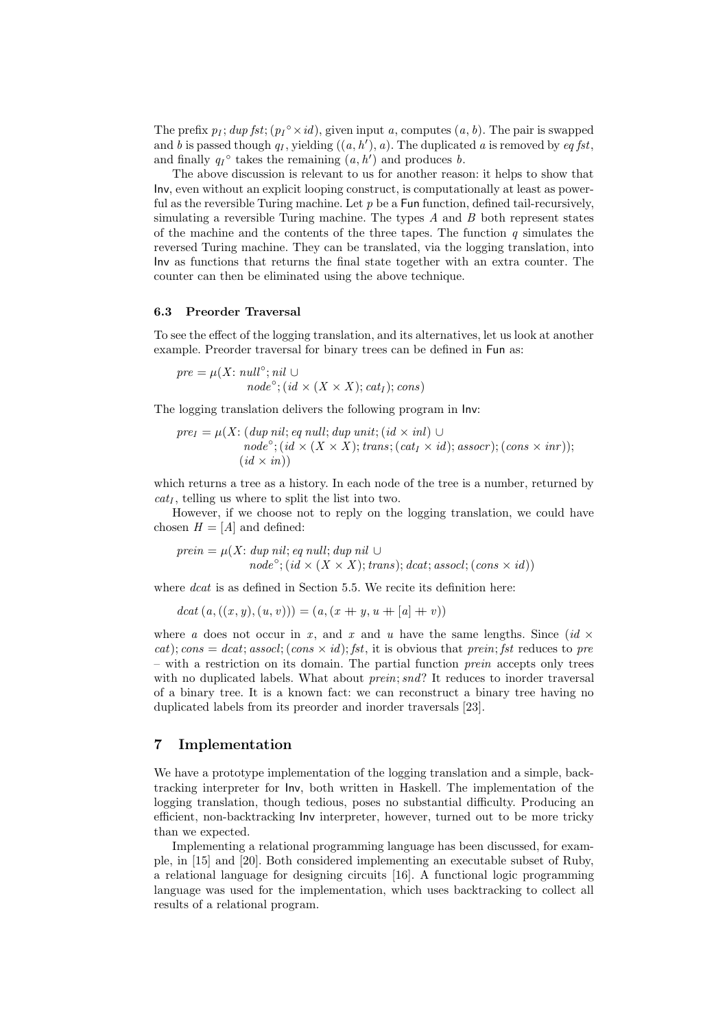The prefix  $p_I$ ;  $dup \, fst$ ;  $(p_I \circ \times id)$ , given input a, computes  $(a, b)$ . The pair is swapped and b is passed though  $q_I$ , yielding  $((a, h'), a)$ . The duplicated a is removed by eq fst, and finally  $q_I^{\circ}$  takes the remaining  $(a, h')$  and produces b.

The above discussion is relevant to us for another reason: it helps to show that Inv, even without an explicit looping construct, is computationally at least as powerful as the reversible Turing machine. Let  $p$  be a Fun function, defined tail-recursively, simulating a reversible Turing machine. The types  $A$  and  $B$  both represent states of the machine and the contents of the three tapes. The function  $q$  simulates the reversed Turing machine. They can be translated, via the logging translation, into Inv as functions that returns the final state together with an extra counter. The counter can then be eliminated using the above technique.

### 6.3 Preorder Traversal

To see the effect of the logging translation, and its alternatives, let us look at another example. Preorder traversal for binary trees can be defined in Fun as:

$$
pre = \mu(X: null^{\circ}; nil \cup
$$

$$
node^{\circ}; (id \times (X \times X); cat_I); cons)
$$

The logging translation delivers the following program in Inv:

$$
pre_I = \mu(X: (dup\ nil; eq\ null; dup\ unit; (id \times inl) \cup
$$
  
\n
$$
node^{\circ}; (id \times (X \times X); trans; (cat_I \times id); assoc); (cons \times inr));
$$
  
\n
$$
(id \times in))
$$

which returns a tree as a history. In each node of the tree is a number, returned by  $cat_I$ , telling us where to split the list into two.

However, if we choose not to reply on the logging translation, we could have chosen  $H = [A]$  and defined:

prein =  $\mu(X: \text{dup nil}; \text{eq null}; \text{dup nil} \cup$  $node^{\circ}$ ; (id  $\times$  (X  $\times$  X); trans); dcat; assocl; (cons  $\times$  id))

where *dcat* is as defined in Section 5.5. We recite its definition here:

 $dcat (a, ((x, y), (u, v))) = (a, (x + y, u + [a] + v))$ 

where a does not occur in x, and x and u have the same lengths. Since  $(id \times$ cat); cons = dcat; assocl; (cons  $\times id$ ); fst, it is obvious that prein; fst reduces to pre  $-$  with a restriction on its domain. The partial function *prein* accepts only trees with no duplicated labels. What about *prein*; snd? It reduces to inorder traversal of a binary tree. It is a known fact: we can reconstruct a binary tree having no duplicated labels from its preorder and inorder traversals [23].

### 7 Implementation

We have a prototype implementation of the logging translation and a simple, backtracking interpreter for Inv, both written in Haskell. The implementation of the logging translation, though tedious, poses no substantial difficulty. Producing an efficient, non-backtracking Inv interpreter, however, turned out to be more tricky than we expected.

Implementing a relational programming language has been discussed, for example, in [15] and [20]. Both considered implementing an executable subset of Ruby, a relational language for designing circuits [16]. A functional logic programming language was used for the implementation, which uses backtracking to collect all results of a relational program.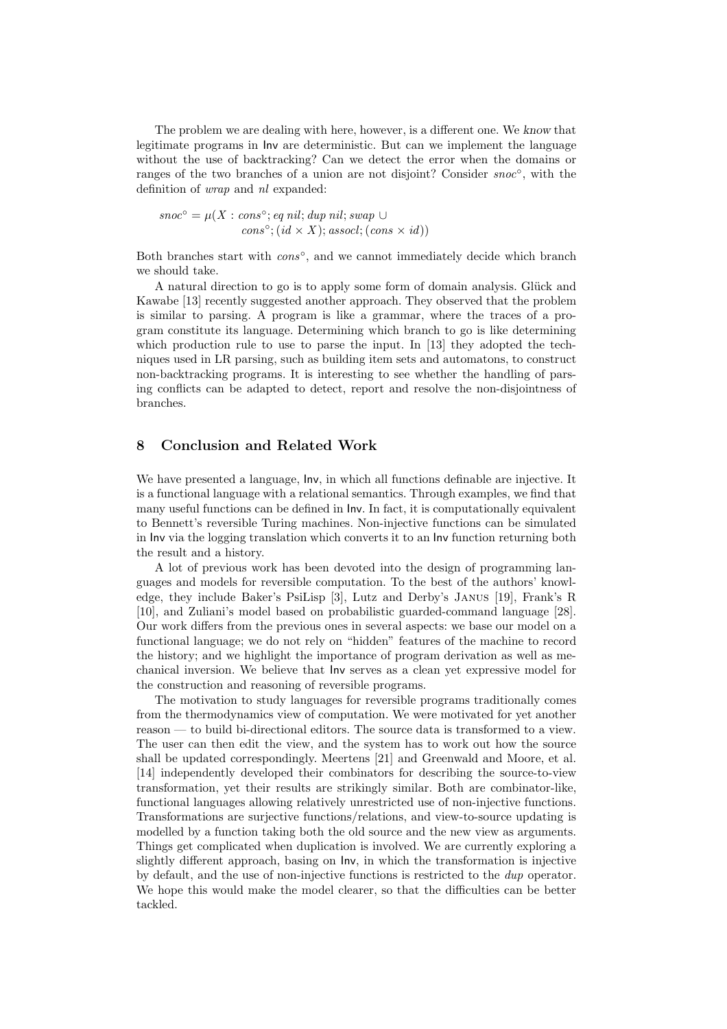The problem we are dealing with here, however, is a different one. We know that legitimate programs in Inv are deterministic. But can we implement the language without the use of backtracking? Can we detect the error when the domains or ranges of the two branches of a union are not disjoint? Consider snoc<sup>°</sup>, with the definition of wrap and nl expanded:

 $snoc<sup>°</sup> = \mu(X : cons<sup>°</sup>; eq nil; dup nil; swap ∪$  $cons$ <sup>°</sup>;  $(id \times X)$ ; assocl;  $(cons \times id)$ 

Both branches start with  $cons^{\circ}$ , and we cannot immediately decide which branch we should take.

A natural direction to go is to apply some form of domain analysis. Glück and Kawabe [13] recently suggested another approach. They observed that the problem is similar to parsing. A program is like a grammar, where the traces of a program constitute its language. Determining which branch to go is like determining which production rule to use to parse the input. In [13] they adopted the techniques used in LR parsing, such as building item sets and automatons, to construct non-backtracking programs. It is interesting to see whether the handling of parsing conflicts can be adapted to detect, report and resolve the non-disjointness of branches.

## 8 Conclusion and Related Work

We have presented a language, Inv, in which all functions definable are injective. It is a functional language with a relational semantics. Through examples, we find that many useful functions can be defined in Inv. In fact, it is computationally equivalent to Bennett's reversible Turing machines. Non-injective functions can be simulated in Inv via the logging translation which converts it to an Inv function returning both the result and a history.

A lot of previous work has been devoted into the design of programming languages and models for reversible computation. To the best of the authors' knowledge, they include Baker's PsiLisp [3], Lutz and Derby's Janus [19], Frank's R [10], and Zuliani's model based on probabilistic guarded-command language [28]. Our work differs from the previous ones in several aspects: we base our model on a functional language; we do not rely on "hidden" features of the machine to record the history; and we highlight the importance of program derivation as well as mechanical inversion. We believe that Inv serves as a clean yet expressive model for the construction and reasoning of reversible programs.

The motivation to study languages for reversible programs traditionally comes from the thermodynamics view of computation. We were motivated for yet another reason — to build bi-directional editors. The source data is transformed to a view. The user can then edit the view, and the system has to work out how the source shall be updated correspondingly. Meertens [21] and Greenwald and Moore, et al. [14] independently developed their combinators for describing the source-to-view transformation, yet their results are strikingly similar. Both are combinator-like, functional languages allowing relatively unrestricted use of non-injective functions. Transformations are surjective functions/relations, and view-to-source updating is modelled by a function taking both the old source and the new view as arguments. Things get complicated when duplication is involved. We are currently exploring a slightly different approach, basing on Inv, in which the transformation is injective by default, and the use of non-injective functions is restricted to the dup operator. We hope this would make the model clearer, so that the difficulties can be better tackled.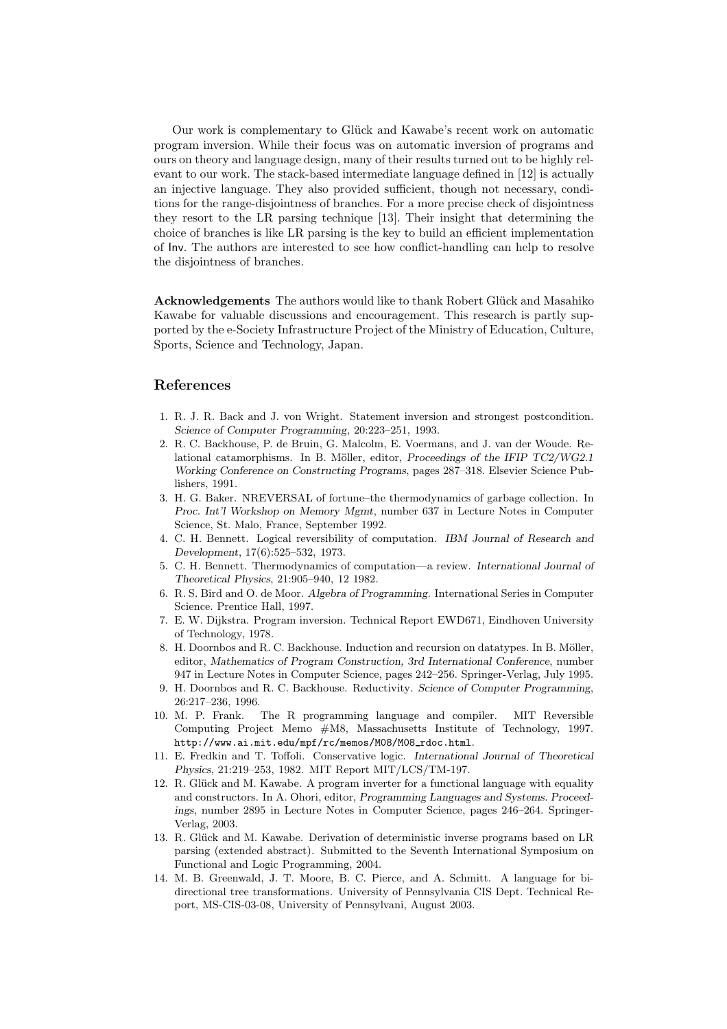Our work is complementary to Glück and Kawabe's recent work on automatic program inversion. While their focus was on automatic inversion of programs and ours on theory and language design, many of their results turned out to be highly relevant to our work. The stack-based intermediate language defined in [12] is actually an injective language. They also provided sufficient, though not necessary, conditions for the range-disjointness of branches. For a more precise check of disjointness they resort to the LR parsing technique [13]. Their insight that determining the choice of branches is like LR parsing is the key to build an efficient implementation of Inv. The authors are interested to see how conflict-handling can help to resolve the disjointness of branches.

Acknowledgements The authors would like to thank Robert Glück and Masahiko Kawabe for valuable discussions and encouragement. This research is partly supported by the e-Society Infrastructure Project of the Ministry of Education, Culture, Sports, Science and Technology, Japan.

## References

- 1. R. J. R. Back and J. von Wright. Statement inversion and strongest postcondition. Science of Computer Programming, 20:223–251, 1993.
- 2. R. C. Backhouse, P. de Bruin, G. Malcolm, E. Voermans, and J. van der Woude. Relational catamorphisms. In B. Möller, editor, Proceedings of the IFIP  $TC2/WG2.1$ Working Conference on Constructing Programs, pages 287–318. Elsevier Science Publishers, 1991.
- 3. H. G. Baker. NREVERSAL of fortune–the thermodynamics of garbage collection. In Proc. Int'l Workshop on Memory Mgmt, number 637 in Lecture Notes in Computer Science, St. Malo, France, September 1992.
- 4. C. H. Bennett. Logical reversibility of computation. IBM Journal of Research and Development, 17(6):525–532, 1973.
- 5. C. H. Bennett. Thermodynamics of computation—a review. International Journal of Theoretical Physics, 21:905–940, 12 1982.
- 6. R. S. Bird and O. de Moor. Algebra of Programming. International Series in Computer Science. Prentice Hall, 1997.
- 7. E. W. Dijkstra. Program inversion. Technical Report EWD671, Eindhoven University of Technology, 1978.
- 8. H. Doornbos and R. C. Backhouse. Induction and recursion on datatypes. In B. Möller, editor, Mathematics of Program Construction, 3rd International Conference, number 947 in Lecture Notes in Computer Science, pages 242–256. Springer-Verlag, July 1995.
- 9. H. Doornbos and R. C. Backhouse. Reductivity. Science of Computer Programming, 26:217–236, 1996.
- 10. M. P. Frank. The R programming language and compiler. MIT Reversible Computing Project Memo #M8, Massachusetts Institute of Technology, 1997. http://www.ai.mit.edu/mpf/rc/memos/M08/M08\_rdoc.html.
- 11. E. Fredkin and T. Toffoli. Conservative logic. International Journal of Theoretical Physics, 21:219–253, 1982. MIT Report MIT/LCS/TM-197.
- 12. R. Glück and M. Kawabe. A program inverter for a functional language with equality and constructors. In A. Ohori, editor, Programming Languages and Systems. Proceedings, number 2895 in Lecture Notes in Computer Science, pages 246–264. Springer-Verlag, 2003.
- 13. R. Glück and M. Kawabe. Derivation of deterministic inverse programs based on LR parsing (extended abstract). Submitted to the Seventh International Symposium on Functional and Logic Programming, 2004.
- 14. M. B. Greenwald, J. T. Moore, B. C. Pierce, and A. Schmitt. A language for bidirectional tree transformations. University of Pennsylvania CIS Dept. Technical Report, MS-CIS-03-08, University of Pennsylvani, August 2003.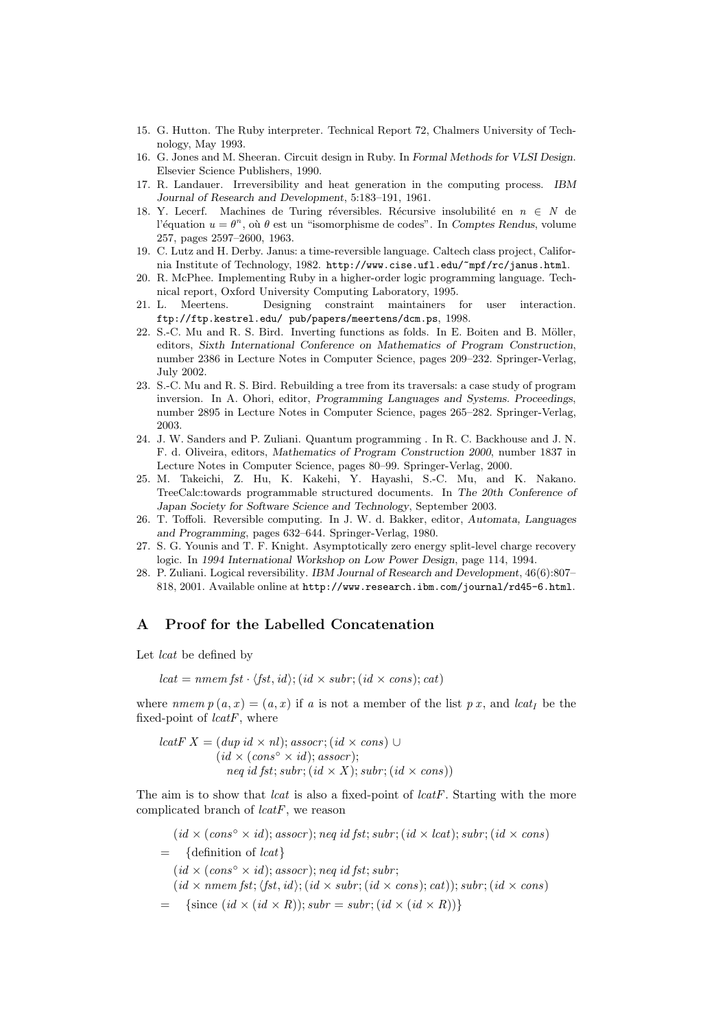- 15. G. Hutton. The Ruby interpreter. Technical Report 72, Chalmers University of Technology, May 1993.
- 16. G. Jones and M. Sheeran. Circuit design in Ruby. In Formal Methods for VLSI Design. Elsevier Science Publishers, 1990.
- 17. R. Landauer. Irreversibility and heat generation in the computing process. IBM Journal of Research and Development, 5:183–191, 1961.
- 18. Y. Lecerf. Machines de Turing réversibles. Récursive insolubilité en  $n \in N$  de l'équation  $u = \theta^n$ , où  $\theta$  est un "isomorphisme de codes". In Comptes Rendus, volume 257, pages 2597–2600, 1963.
- 19. C. Lutz and H. Derby. Janus: a time-reversible language. Caltech class project, California Institute of Technology, 1982. http://www.cise.ufl.edu/~mpf/rc/janus.html.
- 20. R. McPhee. Implementing Ruby in a higher-order logic programming language. Technical report, Oxford University Computing Laboratory, 1995.
- 21. L. Meertens. Designing constraint maintainers for user interaction. ftp://ftp.kestrel.edu/ pub/papers/meertens/dcm.ps, 1998.
- 22. S.-C. Mu and R. S. Bird. Inverting functions as folds. In E. Boiten and B. Möller, editors, Sixth International Conference on Mathematics of Program Construction, number 2386 in Lecture Notes in Computer Science, pages 209–232. Springer-Verlag, July 2002.
- 23. S.-C. Mu and R. S. Bird. Rebuilding a tree from its traversals: a case study of program inversion. In A. Ohori, editor, Programming Languages and Systems. Proceedings, number 2895 in Lecture Notes in Computer Science, pages 265–282. Springer-Verlag, 2003.
- 24. J. W. Sanders and P. Zuliani. Quantum programming . In R. C. Backhouse and J. N. F. d. Oliveira, editors, Mathematics of Program Construction 2000, number 1837 in Lecture Notes in Computer Science, pages 80–99. Springer-Verlag, 2000.
- 25. M. Takeichi, Z. Hu, K. Kakehi, Y. Hayashi, S.-C. Mu, and K. Nakano. TreeCalc:towards programmable structured documents. In The 20th Conference of Japan Society for Software Science and Technology, September 2003.
- 26. T. Toffoli. Reversible computing. In J. W. d. Bakker, editor, Automata, Languages and Programming, pages 632–644. Springer-Verlag, 1980.
- 27. S. G. Younis and T. F. Knight. Asymptotically zero energy split-level charge recovery logic. In 1994 International Workshop on Low Power Design, page 114, 1994.
- 28. P. Zuliani. Logical reversibility. IBM Journal of Research and Development, 46(6):807– 818, 2001. Available online at http://www.research.ibm.com/journal/rd45-6.html.

# A Proof for the Labelled Concatenation

Let *lcat* be defined by

 $lcat = nmem fst \cdot (fst, id); (id \times subr; (id \times cons); cat)$ 

where nmem  $p(a, x) = (a, x)$  if a is not a member of the list p x, and lcat<sub>I</sub> be the fixed-point of  $lcatF$ , where

$$
lcatF X = (dup id \times nl); assoc; (id \times cons) \cup
$$
  
\n
$$
(id \times (cons^{\circ} \times id); assoc);
$$
  
\n
$$
neg id fst; subr; (id \times X); subr; (id \times cons))
$$

The aim is to show that *lcat* is also a fixed-point of *lcatF*. Starting with the more complicated branch of lcatF, we reason

 $(id \times (cons \circ \times id); assoc); neg id fst; subr; (id \times lcat); subr; (id \times cons)$  $=$  {definition of *lcat*}  $(id \times (cons \circ \times id); assocr); neg id fst; subr;$  $(id \times \text{nmem fst}; \langle \text{fst}, \text{id} \rangle; (\text{id} \times \text{subr}; (\text{id} \times \text{cons}); \text{cat})); \text{subr}; (\text{id} \times \text{cons})$  $\{\text{since } (id \times (id \times R))\colon \text{subr} = \text{subr}; (id \times (id \times R))\}$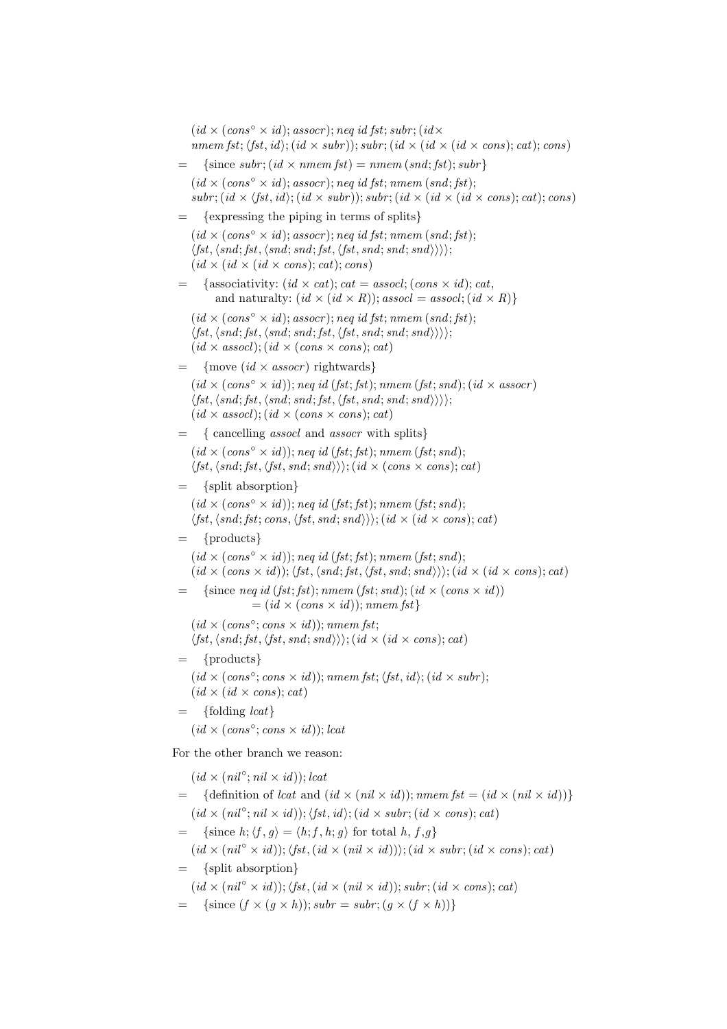```
(id \times (cons \circ \times id); assocr); neg id fst; subr; (id \timesnmem fst; \langle fst, id \rangle; (id \times subr)); subr; (id \times (id \times (id \times cons)); cat); cons)
         {since subr; (id \times nmem \, fst) = nmem \, (snd; \, fst); \, subr}
     (id \times (cons \circ \times id); assocr); neg id fst; nmem (snd; fst);subr; (id \times \langle \mathit{fst}, \mathit{id} \rangle; (id \times \mathit{subr})); subr; (id \times (\mathit{id} \times (\mathit{id} \times \mathit{cons}); \mathit{cat}); \mathit{cons})= {expressing the piping in terms of splits}
     (id \times (cons<sup>°</sup> \times id); assocr); neg id fst; nmem (snd; fst);\langle fst, \langle \mathit{snd}; \mathit{fst}, \langle \mathit{snd}; \mathit{snd}; \mathit{fst}, \langle \mathit{fst}, \mathit{snd}; \mathit{snd} \rangle \rangle \rangle;(id \times (id \times (id \times cons)); cat); cons)
 = {associativity: (id \times cat); cat = assocl; (cons \times id); cat,
             and naturalty: (id \times (id \times R)); assocl = assocl; (id \times R)}
     (id \times (cons \circ \times id); assocr); neq id fst; nmem (snd; fst);
     \langle fst, \langle snd; fst, \langle snd; snd; fst, \langle fst, snd; snd; snd; snd \rangle \rangle \rangle;(id \times assocl); (id \times (cons \times cons); cat)= {move (id \times assocr) rightwards}
     (id \times (cons<sup>°</sup> \times id)); neg id (fst; fst); nmem (fst; snd); (id \times assocr)
      \langle fst, \langle snd; fst, \langle snd; snd; fst, \langle fst, snd; snd; snd; \rangle \rangle \rangle;(id \times assocl); (id \times (cons \times cons); cat)= { cancelling assocl and assocr with splits}
     (id \times (cons \circ \times id)); neq id (fst; fst); nmem (fst; snd);
      \langle fst, \langle snd; fst, \langle fst, \langle snd; \rangle \rangle \rangle; (id \times (\text{cons} \times \text{cons}); cat)= {split absorption}
     (id \times (cons \circ \times id)); neg \, id \, (fst; fst); nmem \, (fst; snd);\langle fst, \langle snd; fst; cons, \langle fst, snd; snd \rangle \rangle \rangle; (id × (id × cons); cat)
 = {products}
     (id \times (cons \circ \times id)); neg \, id \, (fst;fst); \, nmem \, (fst; snd);(id \times (cons \times id)); \langle \textit{fst}, \langle \textit{snd}; \textit{fst}, \langle \textit{fst}, \textit{snd}; \textit{snd} \rangle \rangle; (id \times (id \times cons); cat){since neq id (fst; fst); nmem (fst; snd); (id \times (cons \times id))
                         =(id \times (cons \times id)); nmem fst}
      (id \times (cons \circ; cons \times id)); nmem fst;
      \langle fst, \langle snd; fst, \langle fst, \langle snd; \rangle \rangle \rangle; (id \times (id \times cons); cat)= {products}
      (id \times (cons \circ; cons \times id)); nmem fst; \langle fst, id \rangle; (id \times subr);
     (id \times (id \times cons); cat){folding lcat}
      (id \times (cons^{\circ}; cons \times id)); lcat
For the other branch we reason:
      (id \times (nil^{\circ}; nil \times id)); lcat
 = \{ \text{definition of } \text{lcat} \text{ and } (\text{id} \times (\text{nil} \times \text{id})) ; \text{ } \text{num} \text{ } \text{fst} = (\text{id} \times (\text{nil} \times \text{id})) \}(id \times (nil^{\circ}; nil \times id)); \langle \textit{fst}, \textit{id} \rangle; (\textit{id} \times \textit{subr}; (\textit{id} \times \textit{cons}); \textit{cat})= {since h; \langle f, g \rangle = \langle h; f, h; g \rangle for total h, f,g}
     (id \times (nil^{\circ} \times id)); (fst, (id \times (nil \times id))); (id \times subr; (id \times cons); cat)
 = {split absorption}
     (id \times (nil^{\circ} \times id)); \langle \textit{fst}, (\textit{id} \times (\textit{nil} \times \textit{id})) ; \textit{subr}; (\textit{id} \times \textit{cons}); \textit{cat} \rangle= {since (f \times (q \times h)); subr = subr; (q \times (f \times h))}
```